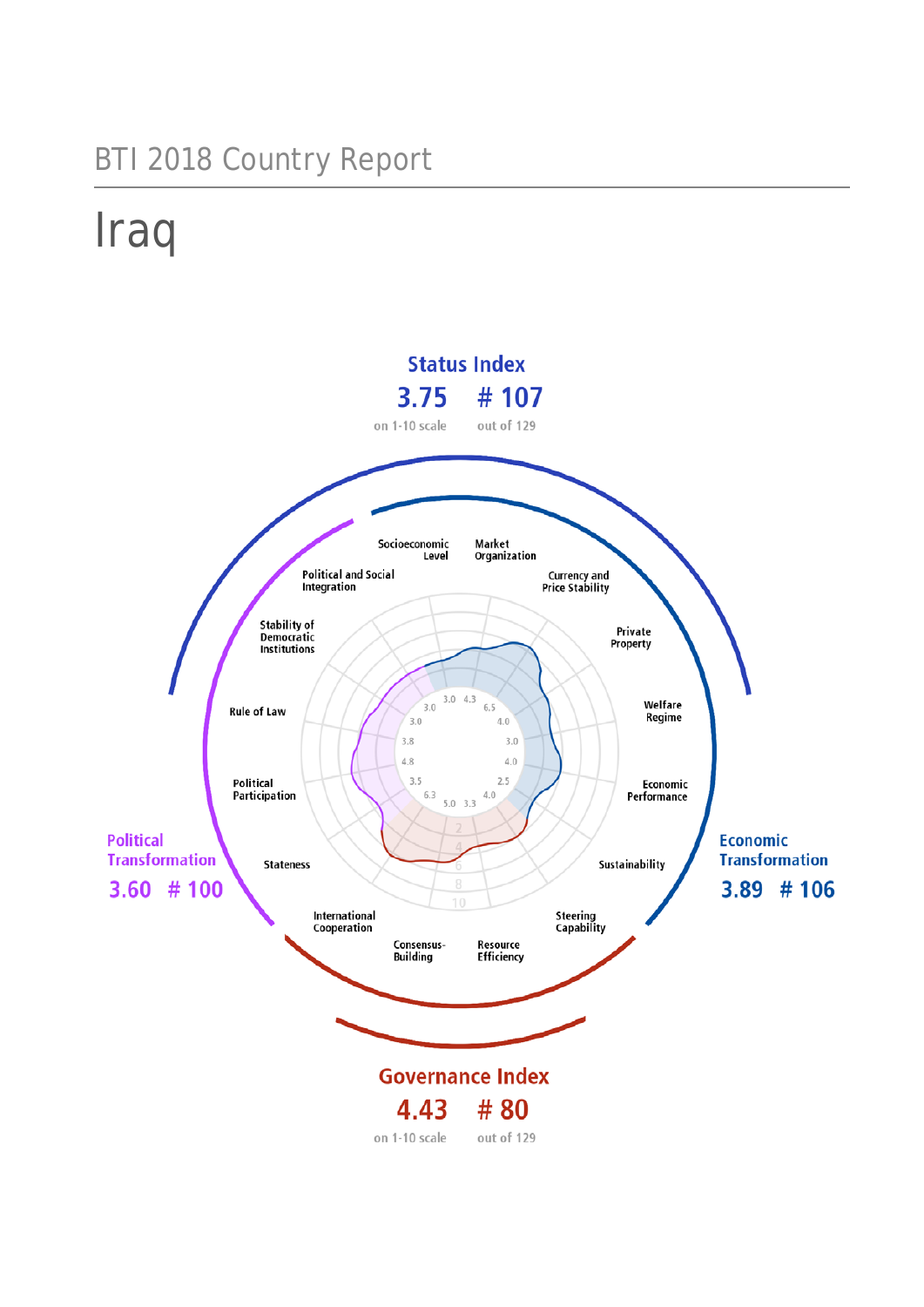# BTI 2018 Country Report

# Iraq

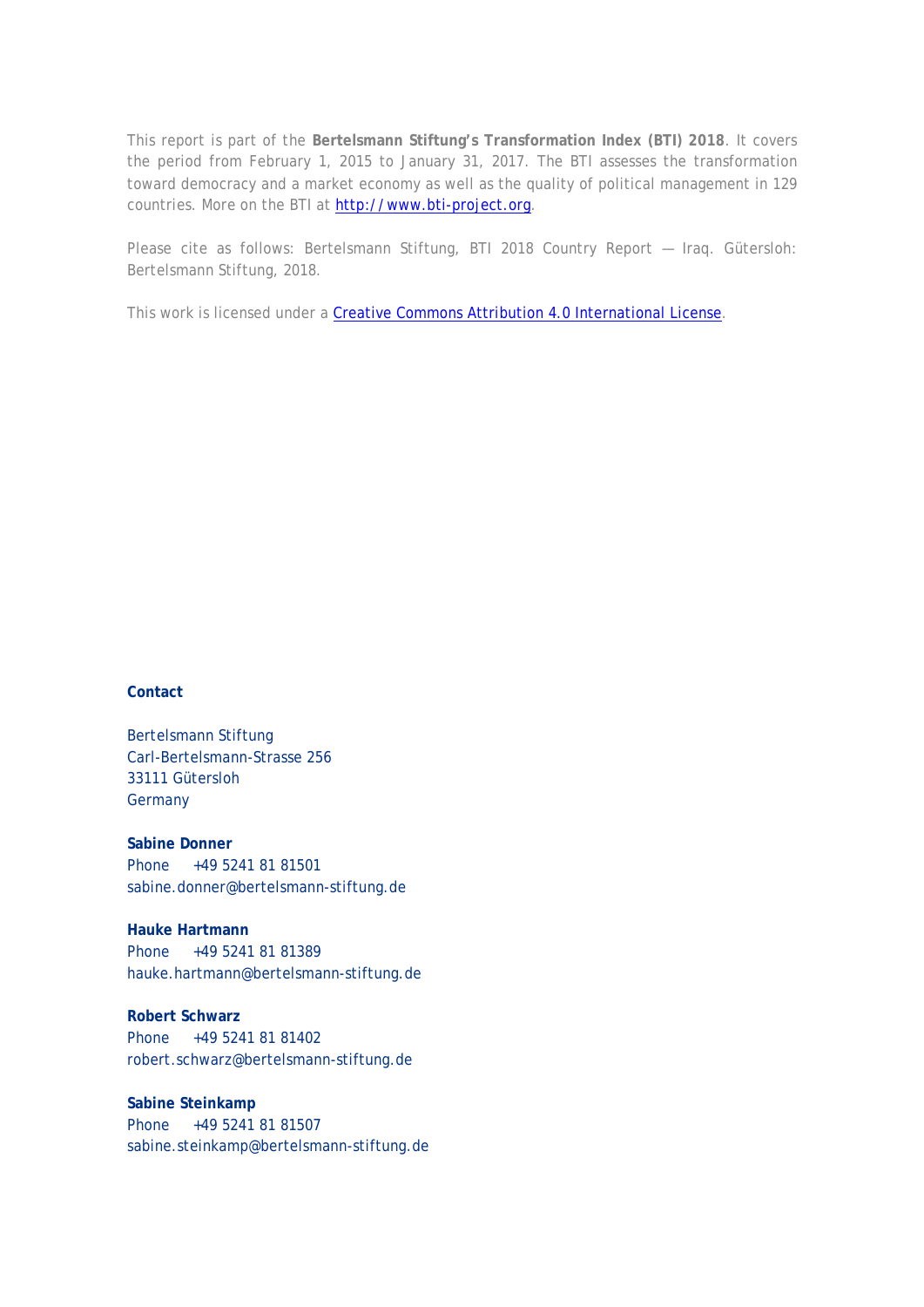This report is part of the **Bertelsmann Stiftung's Transformation Index (BTI) 2018**. It covers the period from February 1, 2015 to January 31, 2017. The BTI assesses the transformation toward democracy and a market economy as well as the quality of political management in 129 countries. More on the BTI at [http://www.bti-project.org.](http://www.bti-project.org/)

Please cite as follows: Bertelsmann Stiftung, BTI 2018 Country Report — Iraq. Gütersloh: Bertelsmann Stiftung, 2018.

This work is licensed under a [Creative Commons Attribution 4.0 International License.](http://creativecommons.org/licenses/by/4.0/)

#### **Contact**

Bertelsmann Stiftung Carl-Bertelsmann-Strasse 256 33111 Gütersloh **Germany** 

**Sabine Donner** Phone +49 5241 81 81501 sabine.donner@bertelsmann-stiftung.de

**Hauke Hartmann** Phone +49 5241 81 81389 hauke.hartmann@bertelsmann-stiftung.de

**Robert Schwarz** Phone +49 5241 81 81402 robert.schwarz@bertelsmann-stiftung.de

**Sabine Steinkamp** Phone +49 5241 81 81507 sabine.steinkamp@bertelsmann-stiftung.de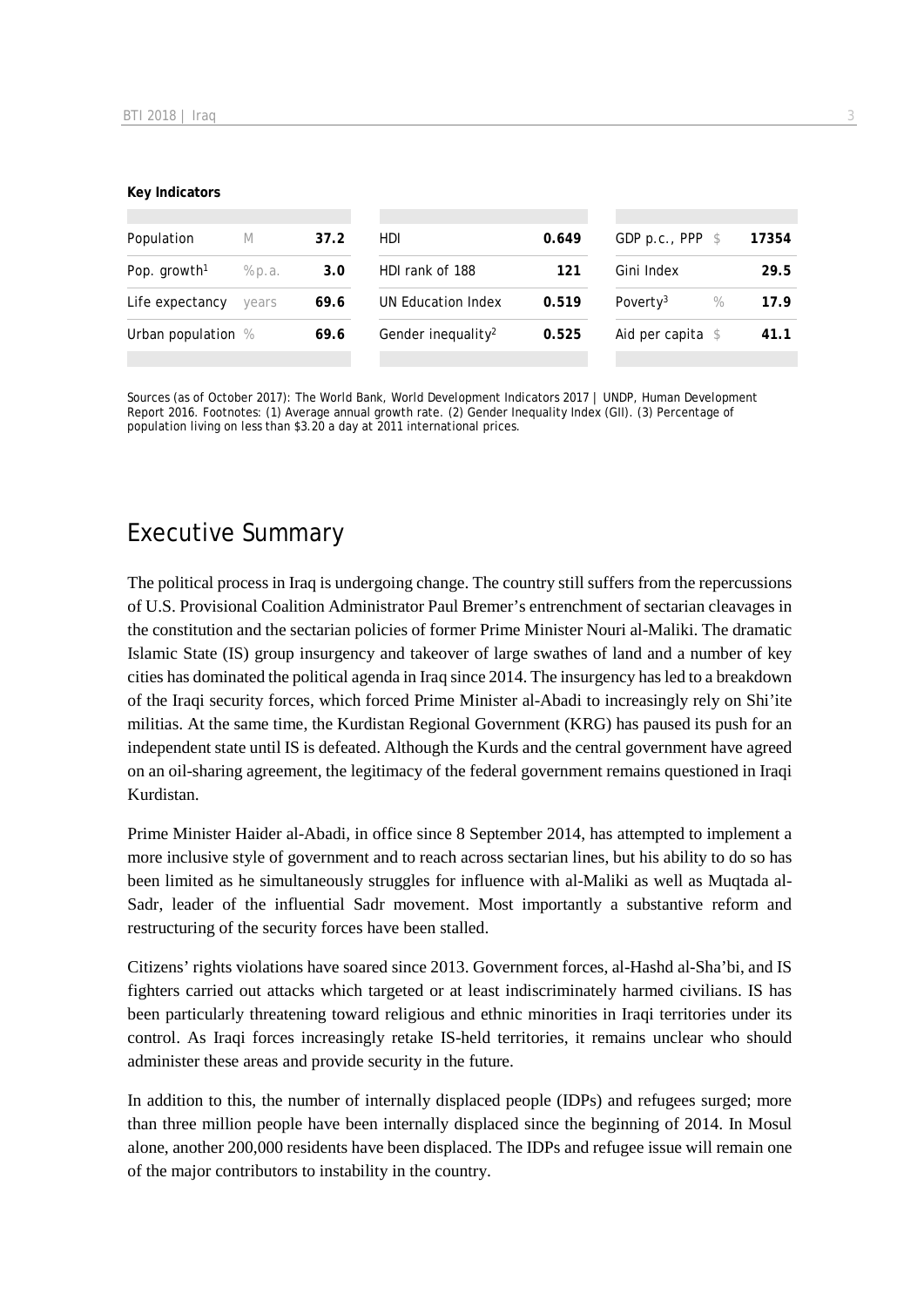#### **Key Indicators**

| Population<br>M          |        | 37.2 | HDI.                           |       | GDP p.c., PPP $$$            | 17354 |
|--------------------------|--------|------|--------------------------------|-------|------------------------------|-------|
| Pop. growth <sup>1</sup> | % p.a. | 3.0  | HDI rank of 188                | 121   | Gini Index                   | 29.5  |
| Life expectancy          | vears  | 69.6 | UN Education Index             | 0.519 | Poverty <sup>3</sup><br>$\%$ | 17.9  |
| Urban population %       |        | 69.6 | Gender inequality <sup>2</sup> | 0.525 | Aid per capita $\$$          | 41.1  |
|                          |        |      |                                |       |                              |       |

Sources (as of October 2017): The World Bank, World Development Indicators 2017 | UNDP, Human Development Report 2016. Footnotes: (1) Average annual growth rate. (2) Gender Inequality Index (GII). (3) Percentage of population living on less than \$3.20 a day at 2011 international prices.

# Executive Summary

The political process in Iraq is undergoing change. The country still suffers from the repercussions of U.S. Provisional Coalition Administrator Paul Bremer's entrenchment of sectarian cleavages in the constitution and the sectarian policies of former Prime Minister Nouri al-Maliki. The dramatic Islamic State (IS) group insurgency and takeover of large swathes of land and a number of key cities has dominated the political agenda in Iraq since 2014. The insurgency has led to a breakdown of the Iraqi security forces, which forced Prime Minister al-Abadi to increasingly rely on Shi'ite militias. At the same time, the Kurdistan Regional Government (KRG) has paused its push for an independent state until IS is defeated. Although the Kurds and the central government have agreed on an oil-sharing agreement, the legitimacy of the federal government remains questioned in Iraqi Kurdistan.

Prime Minister Haider al-Abadi, in office since 8 September 2014, has attempted to implement a more inclusive style of government and to reach across sectarian lines, but his ability to do so has been limited as he simultaneously struggles for influence with al-Maliki as well as Muqtada al-Sadr, leader of the influential Sadr movement. Most importantly a substantive reform and restructuring of the security forces have been stalled.

Citizens' rights violations have soared since 2013. Government forces, al-Hashd al-Sha'bi, and IS fighters carried out attacks which targeted or at least indiscriminately harmed civilians. IS has been particularly threatening toward religious and ethnic minorities in Iraqi territories under its control. As Iraqi forces increasingly retake IS-held territories, it remains unclear who should administer these areas and provide security in the future.

In addition to this, the number of internally displaced people (IDPs) and refugees surged; more than three million people have been internally displaced since the beginning of 2014. In Mosul alone, another 200,000 residents have been displaced. The IDPs and refugee issue will remain one of the major contributors to instability in the country.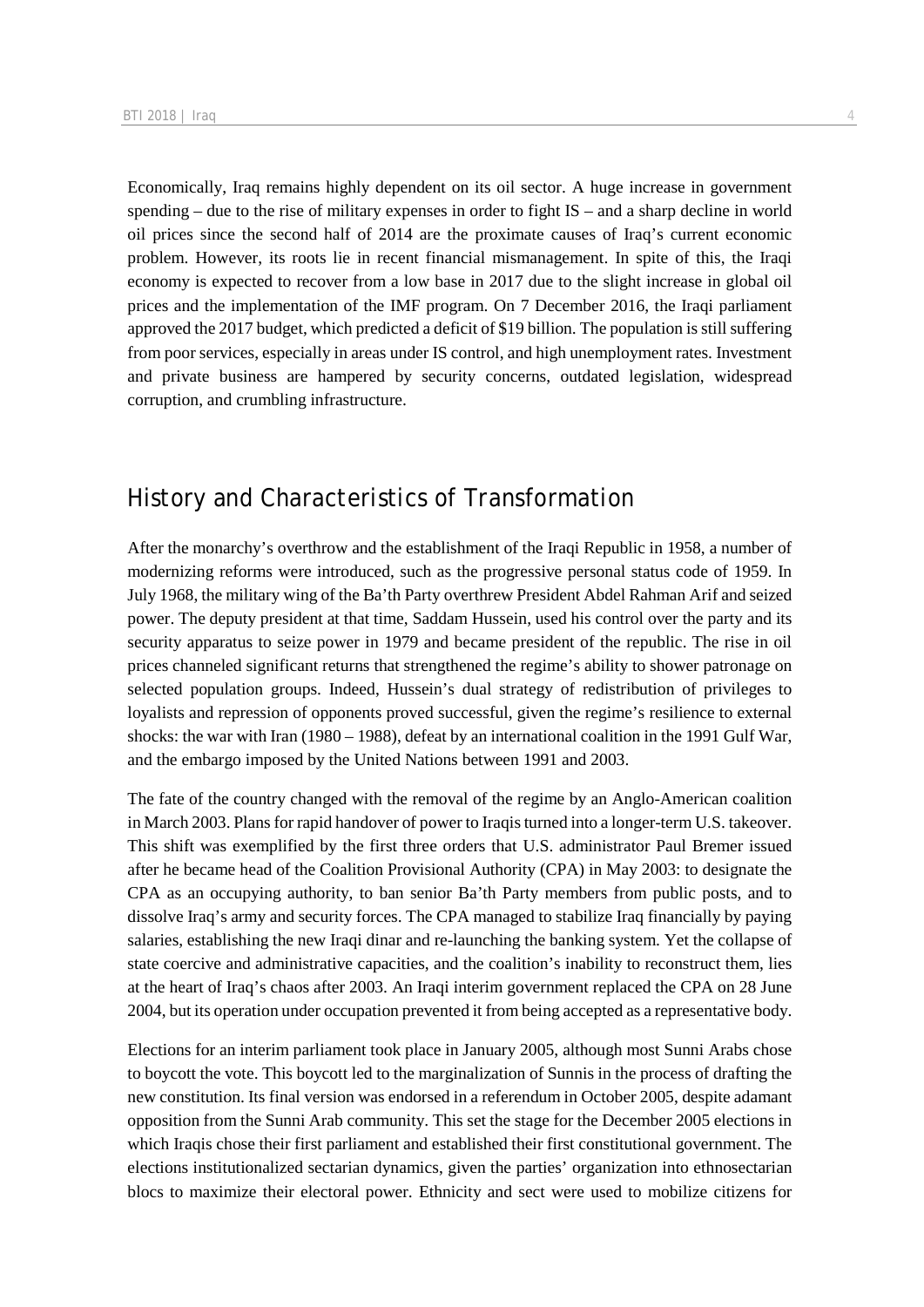Economically, Iraq remains highly dependent on its oil sector. A huge increase in government spending – due to the rise of military expenses in order to fight IS – and a sharp decline in world oil prices since the second half of 2014 are the proximate causes of Iraq's current economic problem. However, its roots lie in recent financial mismanagement. In spite of this, the Iraqi economy is expected to recover from a low base in 2017 due to the slight increase in global oil prices and the implementation of the IMF program. On 7 December 2016, the Iraqi parliament approved the 2017 budget, which predicted a deficit of \$19 billion. The population is still suffering from poor services, especially in areas under IS control, and high unemployment rates. Investment and private business are hampered by security concerns, outdated legislation, widespread corruption, and crumbling infrastructure.

# History and Characteristics of Transformation

After the monarchy's overthrow and the establishment of the Iraqi Republic in 1958, a number of modernizing reforms were introduced, such as the progressive personal status code of 1959. In July 1968, the military wing of the Ba'th Party overthrew President Abdel Rahman Arif and seized power. The deputy president at that time, Saddam Hussein, used his control over the party and its security apparatus to seize power in 1979 and became president of the republic. The rise in oil prices channeled significant returns that strengthened the regime's ability to shower patronage on selected population groups. Indeed, Hussein's dual strategy of redistribution of privileges to loyalists and repression of opponents proved successful, given the regime's resilience to external shocks: the war with Iran (1980 – 1988), defeat by an international coalition in the 1991 Gulf War, and the embargo imposed by the United Nations between 1991 and 2003.

The fate of the country changed with the removal of the regime by an Anglo-American coalition in March 2003. Plans for rapid handover of power to Iraqis turned into a longer-term U.S. takeover. This shift was exemplified by the first three orders that U.S. administrator Paul Bremer issued after he became head of the Coalition Provisional Authority (CPA) in May 2003: to designate the CPA as an occupying authority, to ban senior Ba'th Party members from public posts, and to dissolve Iraq's army and security forces. The CPA managed to stabilize Iraq financially by paying salaries, establishing the new Iraqi dinar and re-launching the banking system. Yet the collapse of state coercive and administrative capacities, and the coalition's inability to reconstruct them, lies at the heart of Iraq's chaos after 2003. An Iraqi interim government replaced the CPA on 28 June 2004, but its operation under occupation prevented it from being accepted as a representative body.

Elections for an interim parliament took place in January 2005, although most Sunni Arabs chose to boycott the vote. This boycott led to the marginalization of Sunnis in the process of drafting the new constitution. Its final version was endorsed in a referendum in October 2005, despite adamant opposition from the Sunni Arab community. This set the stage for the December 2005 elections in which Iraqis chose their first parliament and established their first constitutional government. The elections institutionalized sectarian dynamics, given the parties' organization into ethnosectarian blocs to maximize their electoral power. Ethnicity and sect were used to mobilize citizens for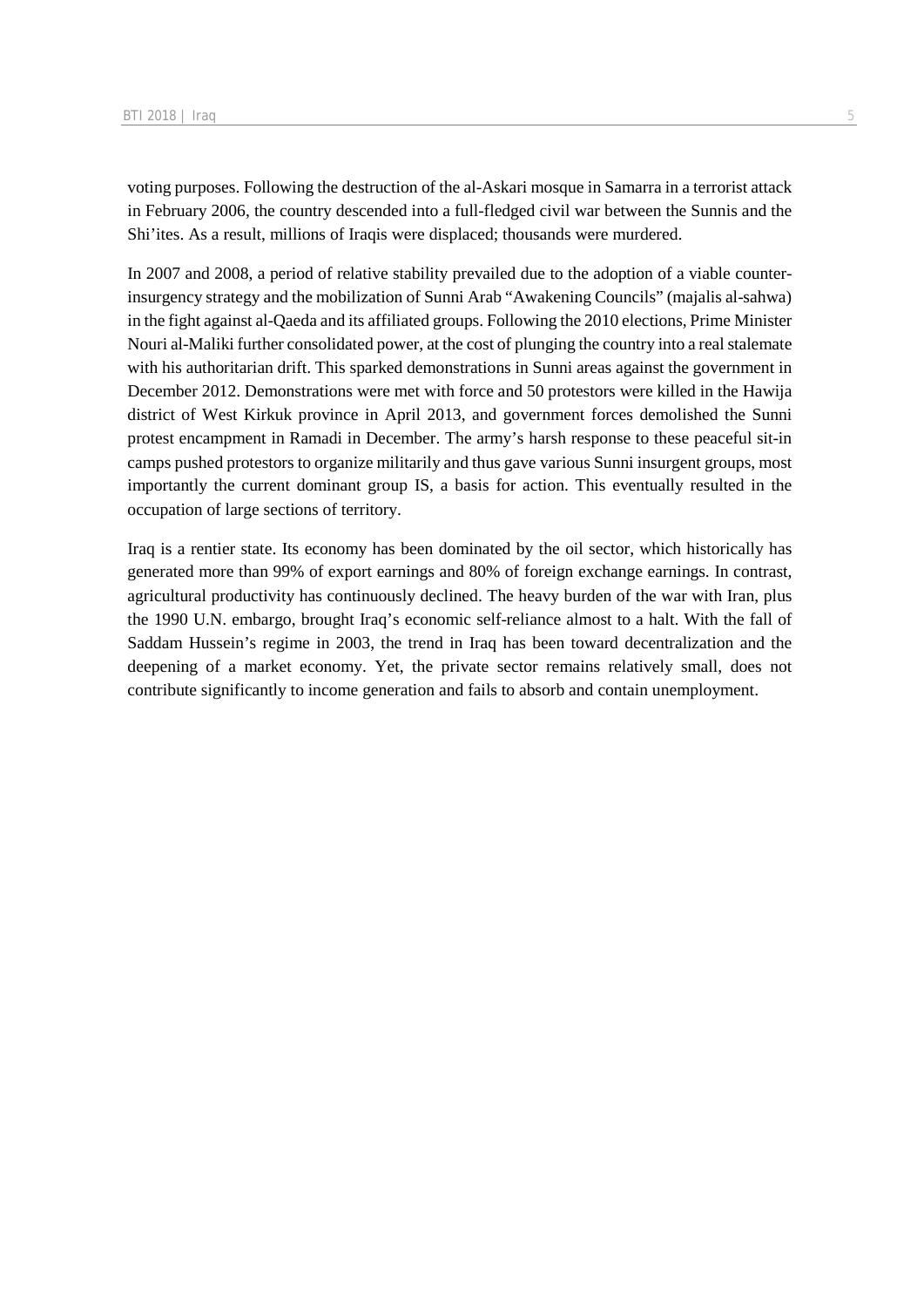voting purposes. Following the destruction of the al-Askari mosque in Samarra in a terrorist attack in February 2006, the country descended into a full-fledged civil war between the Sunnis and the Shi'ites. As a result, millions of Iraqis were displaced; thousands were murdered.

In 2007 and 2008, a period of relative stability prevailed due to the adoption of a viable counterinsurgency strategy and the mobilization of Sunni Arab "Awakening Councils" (majalis al-sahwa) in the fight against al-Qaeda and its affiliated groups. Following the 2010 elections, Prime Minister Nouri al-Maliki further consolidated power, at the cost of plunging the country into a real stalemate with his authoritarian drift. This sparked demonstrations in Sunni areas against the government in December 2012. Demonstrations were met with force and 50 protestors were killed in the Hawija district of West Kirkuk province in April 2013, and government forces demolished the Sunni protest encampment in Ramadi in December. The army's harsh response to these peaceful sit-in camps pushed protestors to organize militarily and thus gave various Sunni insurgent groups, most importantly the current dominant group IS, a basis for action. This eventually resulted in the occupation of large sections of territory.

Iraq is a rentier state. Its economy has been dominated by the oil sector, which historically has generated more than 99% of export earnings and 80% of foreign exchange earnings. In contrast, agricultural productivity has continuously declined. The heavy burden of the war with Iran, plus the 1990 U.N. embargo, brought Iraq's economic self-reliance almost to a halt. With the fall of Saddam Hussein's regime in 2003, the trend in Iraq has been toward decentralization and the deepening of a market economy. Yet, the private sector remains relatively small, does not contribute significantly to income generation and fails to absorb and contain unemployment.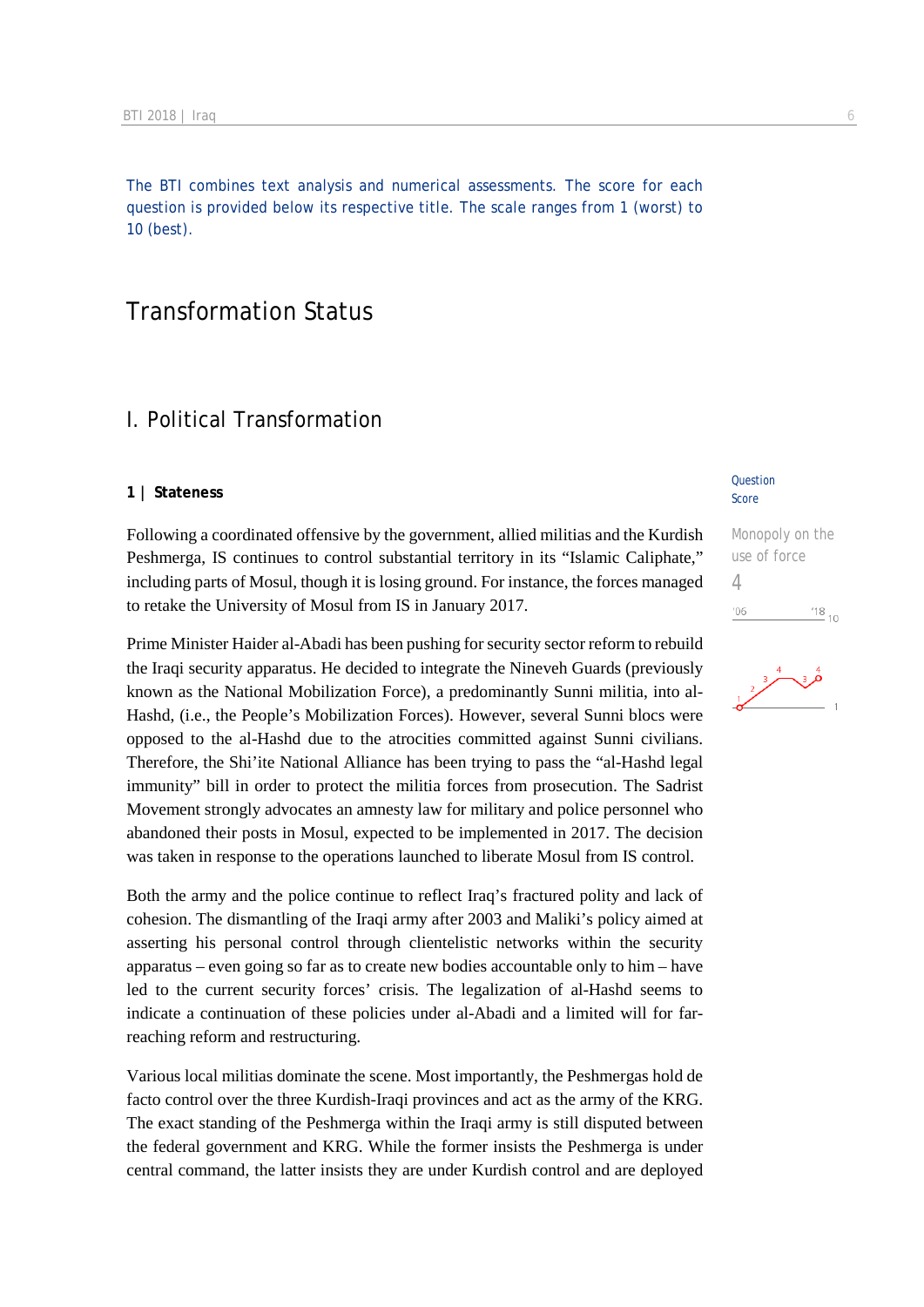The BTI combines text analysis and numerical assessments. The score for each question is provided below its respective title. The scale ranges from 1 (worst) to 10 (best).

# Transformation Status

# I. Political Transformation

#### **1 | Stateness**

Following a coordinated offensive by the government, allied militias and the Kurdish Peshmerga, IS continues to control substantial territory in its "Islamic Caliphate," including parts of Mosul, though it is losing ground. For instance, the forces managed to retake the University of Mosul from IS in January 2017.

Prime Minister Haider al-Abadi has been pushing for security sector reform to rebuild the Iraqi security apparatus. He decided to integrate the Nineveh Guards (previously known as the National Mobilization Force), a predominantly Sunni militia, into al-Hashd, (i.e., the People's Mobilization Forces). However, several Sunni blocs were opposed to the al-Hashd due to the atrocities committed against Sunni civilians. Therefore, the Shi'ite National Alliance has been trying to pass the "al-Hashd legal immunity" bill in order to protect the militia forces from prosecution. The Sadrist Movement strongly advocates an amnesty law for military and police personnel who abandoned their posts in Mosul, expected to be implemented in 2017. The decision was taken in response to the operations launched to liberate Mosul from IS control.

Both the army and the police continue to reflect Iraq's fractured polity and lack of cohesion. The dismantling of the Iraqi army after 2003 and Maliki's policy aimed at asserting his personal control through clientelistic networks within the security apparatus – even going so far as to create new bodies accountable only to him – have led to the current security forces' crisis. The legalization of al-Hashd seems to indicate a continuation of these policies under al-Abadi and a limited will for farreaching reform and restructuring.

Various local militias dominate the scene. Most importantly, the Peshmergas hold de facto control over the three Kurdish-Iraqi provinces and act as the army of the KRG. The exact standing of the Peshmerga within the Iraqi army is still disputed between the federal government and KRG. While the former insists the Peshmerga is under central command, the latter insists they are under Kurdish control and are deployed

#### **Question** Score

Monopoly on the use of force 4 $\frac{18}{10}$  10  $06$ 

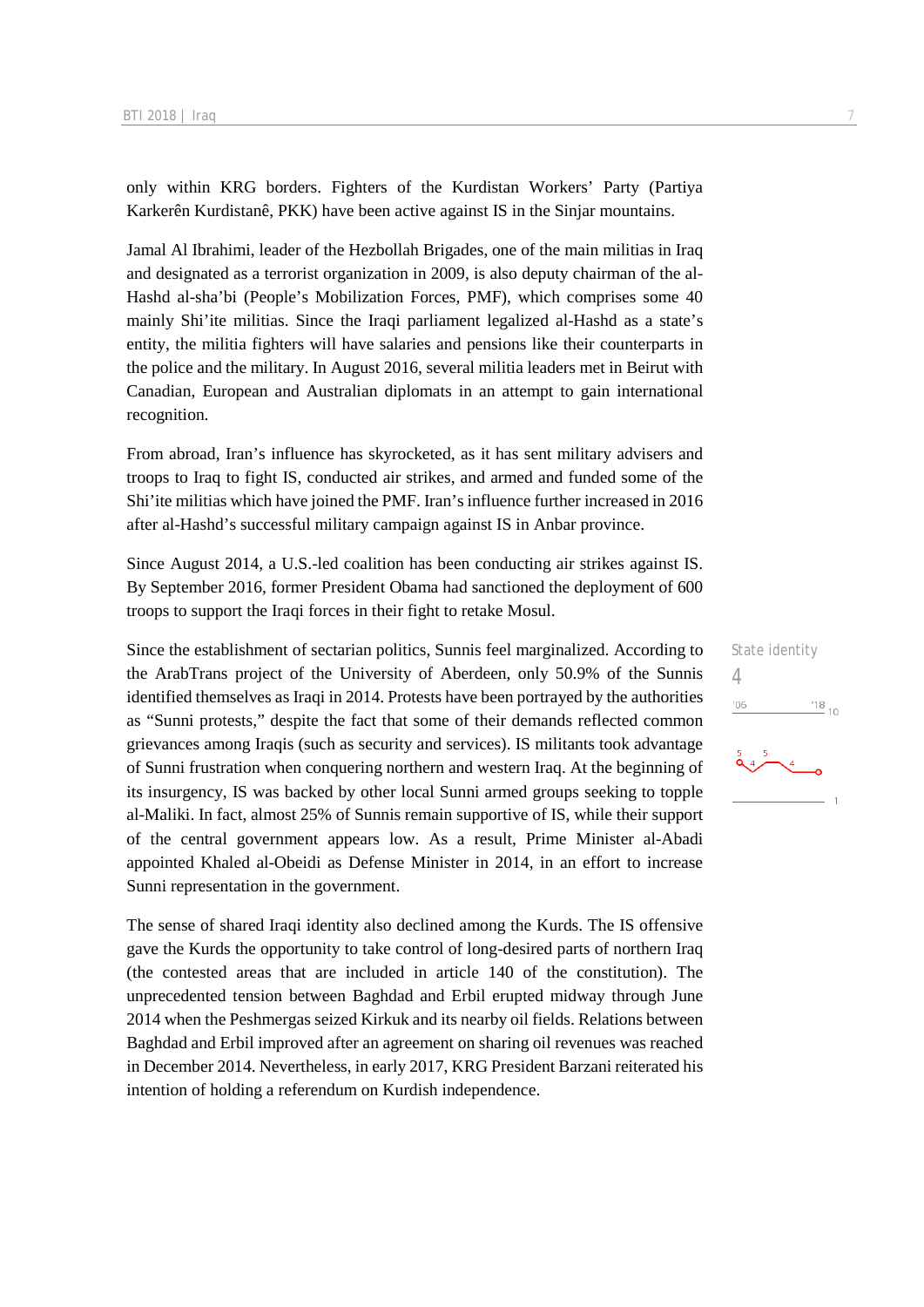only within KRG borders. Fighters of the Kurdistan Workers' Party (Partiya Karkerên Kurdistanê, PKK) have been active against IS in the Sinjar mountains.

Jamal Al Ibrahimi, leader of the Hezbollah Brigades, one of the main militias in Iraq and designated as a terrorist organization in 2009, is also deputy chairman of the al-Hashd al-sha'bi (People's Mobilization Forces, PMF), which comprises some 40 mainly Shi'ite militias. Since the Iraqi parliament legalized al-Hashd as a state's entity, the militia fighters will have salaries and pensions like their counterparts in the police and the military. In August 2016, several militia leaders met in Beirut with Canadian, European and Australian diplomats in an attempt to gain international recognition.

From abroad, Iran's influence has skyrocketed, as it has sent military advisers and troops to Iraq to fight IS, conducted air strikes, and armed and funded some of the Shi'ite militias which have joined the PMF. Iran's influence further increased in 2016 after al-Hashd's successful military campaign against IS in Anbar province.

Since August 2014, a U.S.-led coalition has been conducting air strikes against IS. By September 2016, former President Obama had sanctioned the deployment of 600 troops to support the Iraqi forces in their fight to retake Mosul.

Since the establishment of sectarian politics, Sunnis feel marginalized. According to the ArabTrans project of the University of Aberdeen, only 50.9% of the Sunnis identified themselves as Iraqi in 2014. Protests have been portrayed by the authorities as "Sunni protests," despite the fact that some of their demands reflected common grievances among Iraqis (such as security and services). IS militants took advantage of Sunni frustration when conquering northern and western Iraq. At the beginning of its insurgency, IS was backed by other local Sunni armed groups seeking to topple al-Maliki. In fact, almost 25% of Sunnis remain supportive of IS, while their support of the central government appears low. As a result, Prime Minister al-Abadi appointed Khaled al-Obeidi as Defense Minister in 2014, in an effort to increase Sunni representation in the government.

The sense of shared Iraqi identity also declined among the Kurds. The IS offensive gave the Kurds the opportunity to take control of long-desired parts of northern Iraq (the contested areas that are included in article 140 of the constitution). The unprecedented tension between Baghdad and Erbil erupted midway through June 2014 when the Peshmergas seized Kirkuk and its nearby oil fields. Relations between Baghdad and Erbil improved after an agreement on sharing oil revenues was reached in December 2014. Nevertheless, in early 2017, KRG President Barzani reiterated his intention of holding a referendum on Kurdish independence.

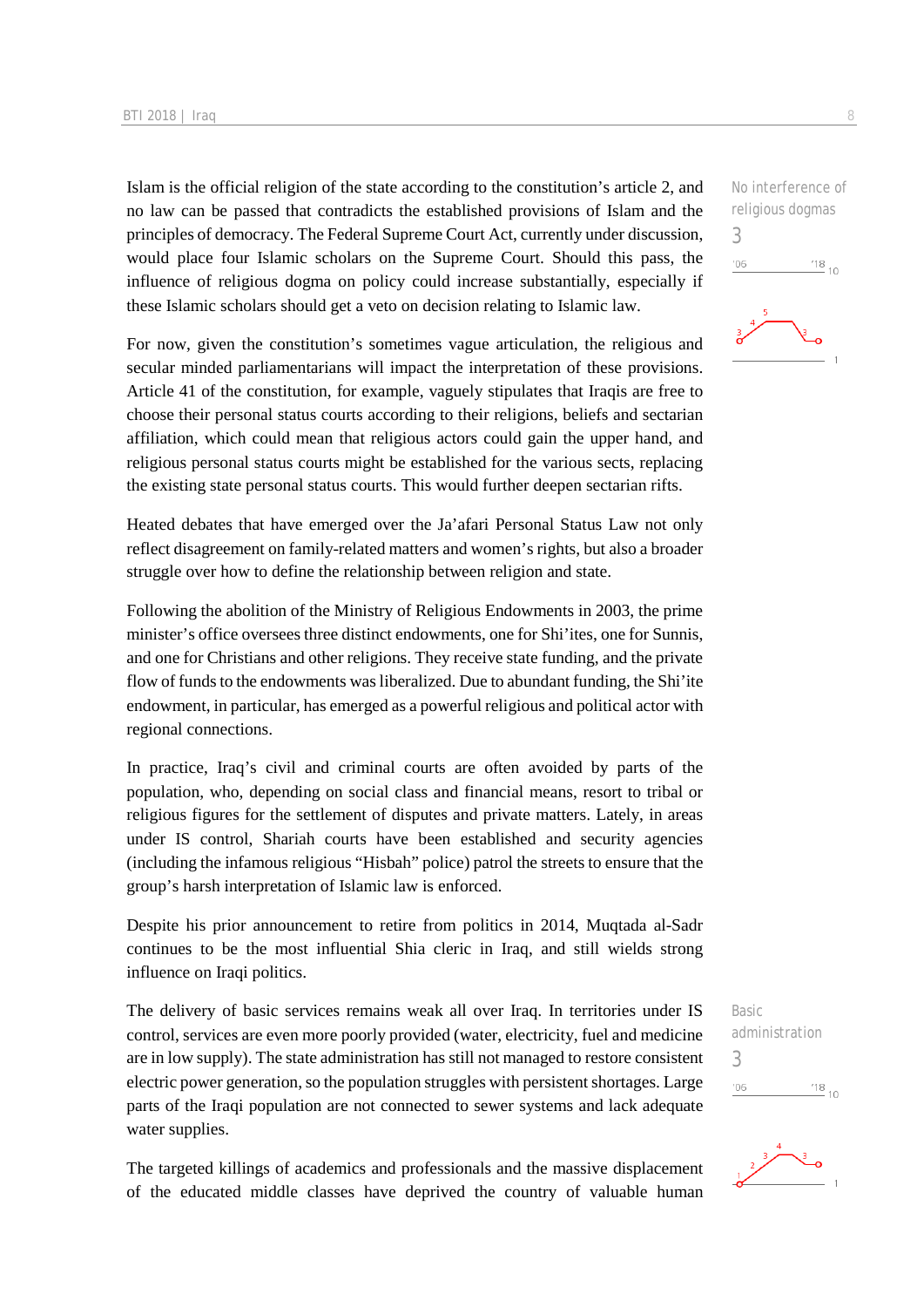Islam is the official religion of the state according to the constitution's article 2, and no law can be passed that contradicts the established provisions of Islam and the principles of democracy. The Federal Supreme Court Act, currently under discussion, would place four Islamic scholars on the Supreme Court. Should this pass, the influence of religious dogma on policy could increase substantially, especially if these Islamic scholars should get a veto on decision relating to Islamic law.

For now, given the constitution's sometimes vague articulation, the religious and secular minded parliamentarians will impact the interpretation of these provisions. Article 41 of the constitution, for example, vaguely stipulates that Iraqis are free to choose their personal status courts according to their religions, beliefs and sectarian affiliation, which could mean that religious actors could gain the upper hand, and religious personal status courts might be established for the various sects, replacing the existing state personal status courts. This would further deepen sectarian rifts.

Heated debates that have emerged over the Ja'afari Personal Status Law not only reflect disagreement on family-related matters and women's rights, but also a broader struggle over how to define the relationship between religion and state.

Following the abolition of the Ministry of Religious Endowments in 2003, the prime minister's office oversees three distinct endowments, one for Shi'ites, one for Sunnis, and one for Christians and other religions. They receive state funding, and the private flow of funds to the endowments was liberalized. Due to abundant funding, the Shi'ite endowment, in particular, has emerged as a powerful religious and political actor with regional connections.

In practice, Iraq's civil and criminal courts are often avoided by parts of the population, who, depending on social class and financial means, resort to tribal or religious figures for the settlement of disputes and private matters. Lately, in areas under IS control, Shariah courts have been established and security agencies (including the infamous religious "Hisbah" police) patrol the streets to ensure that the group's harsh interpretation of Islamic law is enforced.

Despite his prior announcement to retire from politics in 2014, Muqtada al-Sadr continues to be the most influential Shia cleric in Iraq, and still wields strong influence on Iraqi politics.

The delivery of basic services remains weak all over Iraq. In territories under IS control, services are even more poorly provided (water, electricity, fuel and medicine are in low supply). The state administration has still not managed to restore consistent electric power generation, so the population struggles with persistent shortages. Large parts of the Iraqi population are not connected to sewer systems and lack adequate water supplies.

The targeted killings of academics and professionals and the massive displacement of the educated middle classes have deprived the country of valuable human

3  $\frac{18}{10}$  10  $'06$ 

No interference of religious dogmas

Basic administration 3 $^{18}_{-10}$  $106$ 

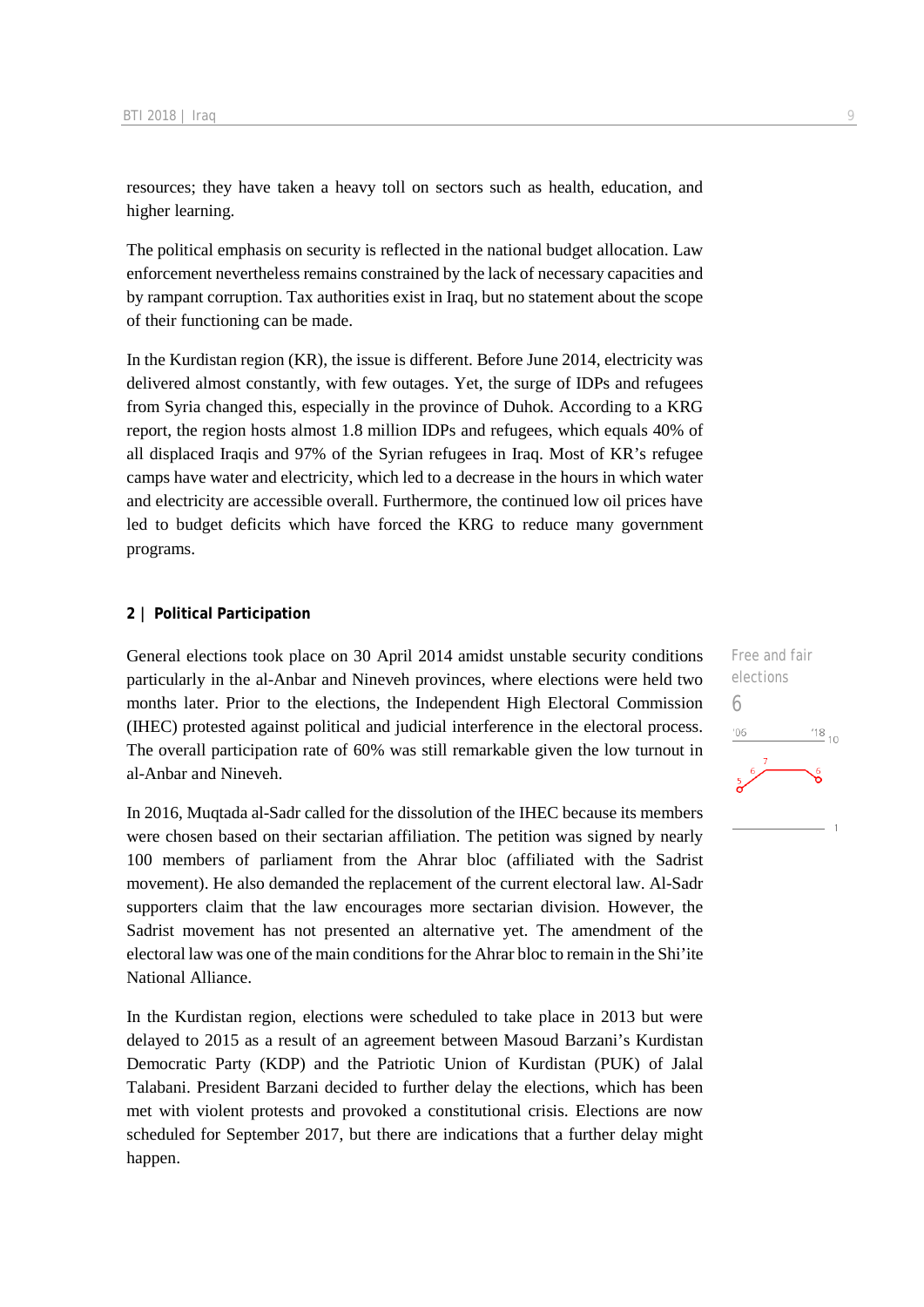resources; they have taken a heavy toll on sectors such as health, education, and higher learning.

The political emphasis on security is reflected in the national budget allocation. Law enforcement nevertheless remains constrained by the lack of necessary capacities and by rampant corruption. Tax authorities exist in Iraq, but no statement about the scope of their functioning can be made.

In the Kurdistan region (KR), the issue is different. Before June 2014, electricity was delivered almost constantly, with few outages. Yet, the surge of IDPs and refugees from Syria changed this, especially in the province of Duhok. According to a KRG report, the region hosts almost 1.8 million IDPs and refugees, which equals 40% of all displaced Iraqis and 97% of the Syrian refugees in Iraq. Most of KR's refugee camps have water and electricity, which led to a decrease in the hours in which water and electricity are accessible overall. Furthermore, the continued low oil prices have led to budget deficits which have forced the KRG to reduce many government programs.

#### **2 | Political Participation**

General elections took place on 30 April 2014 amidst unstable security conditions particularly in the al-Anbar and Nineveh provinces, where elections were held two months later. Prior to the elections, the Independent High Electoral Commission (IHEC) protested against political and judicial interference in the electoral process. The overall participation rate of 60% was still remarkable given the low turnout in al-Anbar and Nineveh.

In 2016, Muqtada al-Sadr called for the dissolution of the IHEC because its members were chosen based on their sectarian affiliation. The petition was signed by nearly 100 members of parliament from the Ahrar bloc (affiliated with the Sadrist movement). He also demanded the replacement of the current electoral law. Al-Sadr supporters claim that the law encourages more sectarian division. However, the Sadrist movement has not presented an alternative yet. The amendment of the electoral law was one of the main conditions for the Ahrar bloc to remain in the Shi'ite National Alliance.

In the Kurdistan region, elections were scheduled to take place in 2013 but were delayed to 2015 as a result of an agreement between Masoud Barzani's Kurdistan Democratic Party (KDP) and the Patriotic Union of Kurdistan (PUK) of Jalal Talabani. President Barzani decided to further delay the elections, which has been met with violent protests and provoked a constitutional crisis. Elections are now scheduled for September 2017, but there are indications that a further delay might happen.

Free and fair elections 6 $^{18}_{-10}$ '06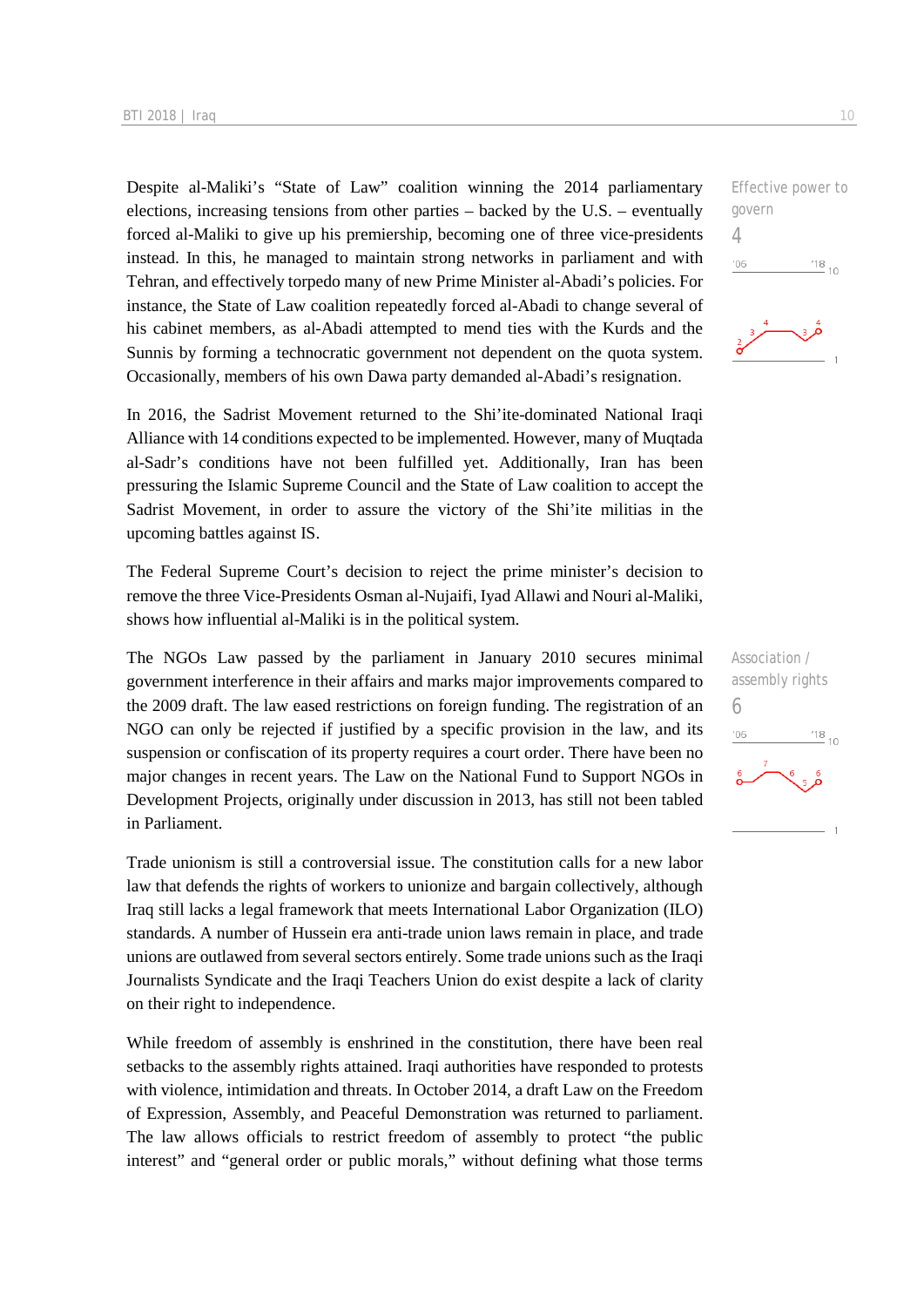Despite al-Maliki's "State of Law" coalition winning the 2014 parliamentary elections, increasing tensions from other parties – backed by the U.S. – eventually forced al-Maliki to give up his premiership, becoming one of three vice-presidents instead. In this, he managed to maintain strong networks in parliament and with Tehran, and effectively torpedo many of new Prime Minister al-Abadi's policies. For instance, the State of Law coalition repeatedly forced al-Abadi to change several of his cabinet members, as al-Abadi attempted to mend ties with the Kurds and the Sunnis by forming a technocratic government not dependent on the quota system. Occasionally, members of his own Dawa party demanded al-Abadi's resignation.

In 2016, the Sadrist Movement returned to the Shi'ite-dominated National Iraqi Alliance with 14 conditions expected to be implemented. However, many of Muqtada al-Sadr's conditions have not been fulfilled yet. Additionally, Iran has been pressuring the Islamic Supreme Council and the State of Law coalition to accept the Sadrist Movement, in order to assure the victory of the Shi'ite militias in the upcoming battles against IS.

The Federal Supreme Court's decision to reject the prime minister's decision to remove the three Vice-Presidents Osman al-Nujaifi, Iyad Allawi and Nouri al-Maliki, shows how influential al-Maliki is in the political system.

The NGOs Law passed by the parliament in January 2010 secures minimal government interference in their affairs and marks major improvements compared to the 2009 draft. The law eased restrictions on foreign funding. The registration of an NGO can only be rejected if justified by a specific provision in the law, and its suspension or confiscation of its property requires a court order. There have been no major changes in recent years. The Law on the National Fund to Support NGOs in Development Projects, originally under discussion in 2013, has still not been tabled in Parliament.

Trade unionism is still a controversial issue. The constitution calls for a new labor law that defends the rights of workers to unionize and bargain collectively, although Iraq still lacks a legal framework that meets International Labor Organization (ILO) standards. A number of Hussein era anti-trade union laws remain in place, and trade unions are outlawed from several sectors entirely. Some trade unions such as the Iraqi Journalists Syndicate and the Iraqi Teachers Union do exist despite a lack of clarity on their right to independence.

While freedom of assembly is enshrined in the constitution, there have been real setbacks to the assembly rights attained. Iraqi authorities have responded to protests with violence, intimidation and threats. In October 2014, a draft Law on the Freedom of Expression, Assembly, and Peaceful Demonstration was returned to parliament. The law allows officials to restrict freedom of assembly to protect "the public interest" and "general order or public morals," without defining what those terms Effective power to govern 4  $06'$  $^{18}_{-10}$ 



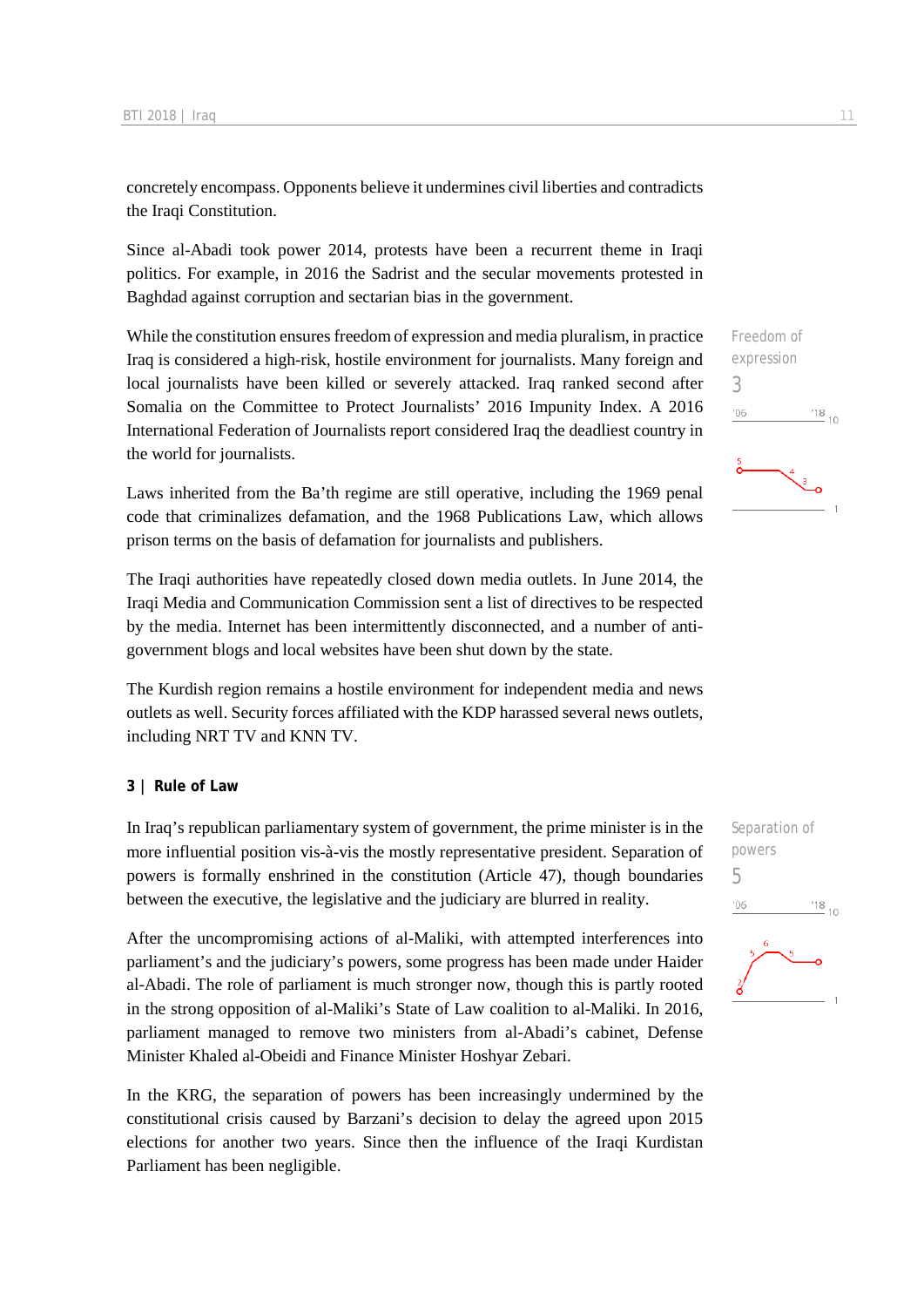concretely encompass. Opponents believe it undermines civil liberties and contradicts the Iraqi Constitution.

Since al-Abadi took power 2014, protests have been a recurrent theme in Iraqi politics. For example, in 2016 the Sadrist and the secular movements protested in Baghdad against corruption and sectarian bias in the government.

While the constitution ensures freedom of expression and media pluralism, in practice Iraq is considered a high-risk, hostile environment for journalists. Many foreign and local journalists have been killed or severely attacked. Iraq ranked second after Somalia on the Committee to Protect Journalists' 2016 Impunity Index. A 2016 International Federation of Journalists report considered Iraq the deadliest country in the world for journalists.

Laws inherited from the Ba'th regime are still operative, including the 1969 penal code that criminalizes defamation, and the 1968 Publications Law, which allows prison terms on the basis of defamation for journalists and publishers.

The Iraqi authorities have repeatedly closed down media outlets. In June 2014, the Iraqi Media and Communication Commission sent a list of directives to be respected by the media. Internet has been intermittently disconnected, and a number of antigovernment blogs and local websites have been shut down by the state.

The Kurdish region remains a hostile environment for independent media and news outlets as well. Security forces affiliated with the KDP harassed several news outlets, including NRT TV and KNN TV.

#### **3 | Rule of Law**

In Iraq's republican parliamentary system of government, the prime minister is in the more influential position vis-à-vis the mostly representative president. Separation of powers is formally enshrined in the constitution (Article 47), though boundaries between the executive, the legislative and the judiciary are blurred in reality.

After the uncompromising actions of al-Maliki, with attempted interferences into parliament's and the judiciary's powers, some progress has been made under Haider al-Abadi. The role of parliament is much stronger now, though this is partly rooted in the strong opposition of al-Maliki's State of Law coalition to al-Maliki. In 2016, parliament managed to remove two ministers from al-Abadi's cabinet, Defense Minister Khaled al-Obeidi and Finance Minister Hoshyar Zebari.

In the KRG, the separation of powers has been increasingly undermined by the constitutional crisis caused by Barzani's decision to delay the agreed upon 2015 elections for another two years. Since then the influence of the Iraqi Kurdistan Parliament has been negligible.

Freedom of expression 3  $n6$  $^{18}_{-10}$ 



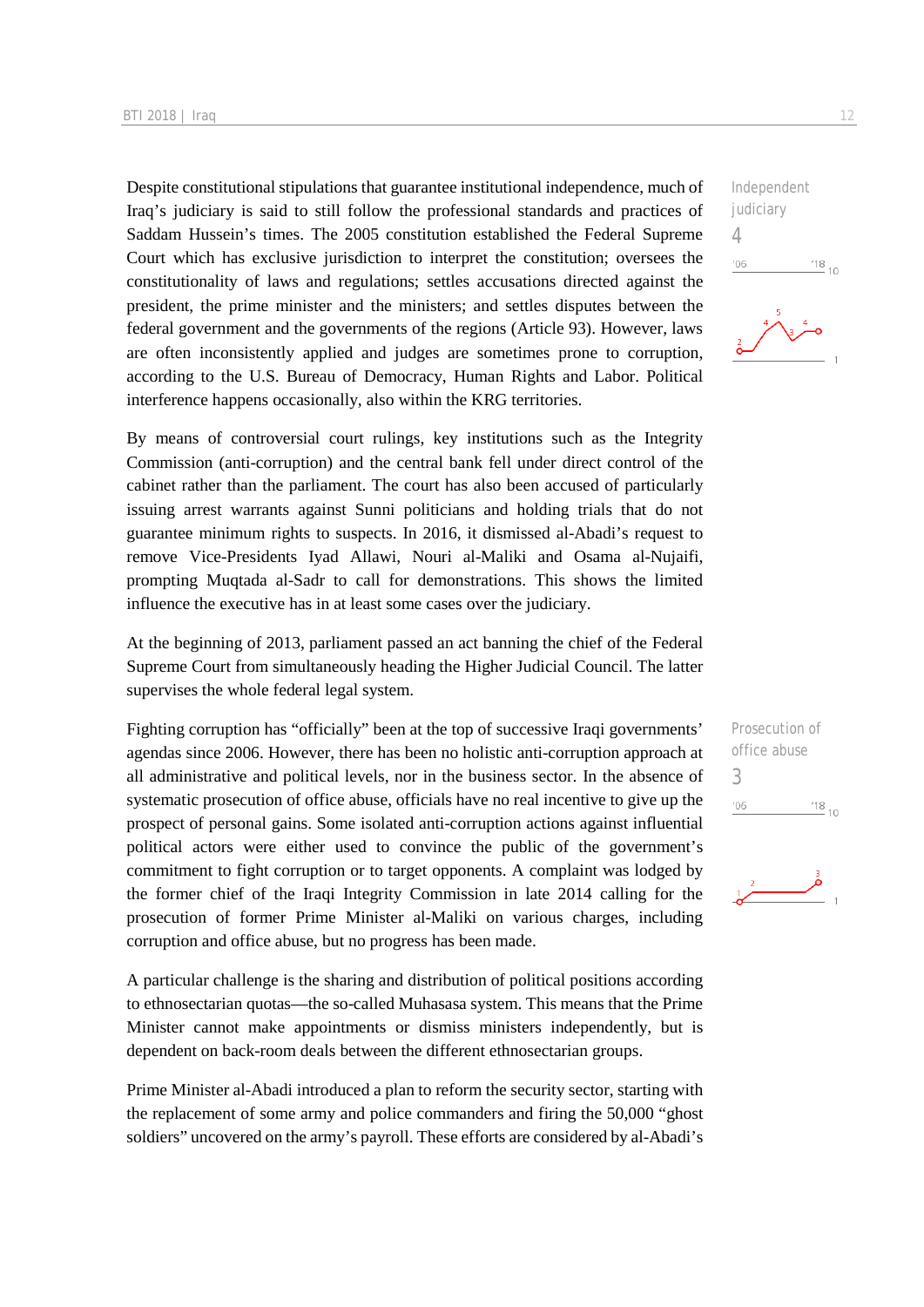Despite constitutional stipulations that guarantee institutional independence, much of Iraq's judiciary is said to still follow the professional standards and practices of Saddam Hussein's times. The 2005 constitution established the Federal Supreme Court which has exclusive jurisdiction to interpret the constitution; oversees the constitutionality of laws and regulations; settles accusations directed against the president, the prime minister and the ministers; and settles disputes between the federal government and the governments of the regions (Article 93). However, laws are often inconsistently applied and judges are sometimes prone to corruption, according to the U.S. Bureau of Democracy, Human Rights and Labor. Political interference happens occasionally, also within the KRG territories.

By means of controversial court rulings, key institutions such as the Integrity Commission (anti-corruption) and the central bank fell under direct control of the cabinet rather than the parliament. The court has also been accused of particularly issuing arrest warrants against Sunni politicians and holding trials that do not guarantee minimum rights to suspects. In 2016, it dismissed al-Abadi's request to remove Vice-Presidents Iyad Allawi, Nouri al-Maliki and Osama al-Nujaifi, prompting Muqtada al-Sadr to call for demonstrations. This shows the limited influence the executive has in at least some cases over the judiciary.

At the beginning of 2013, parliament passed an act banning the chief of the Federal Supreme Court from simultaneously heading the Higher Judicial Council. The latter supervises the whole federal legal system.

Fighting corruption has "officially" been at the top of successive Iraqi governments' agendas since 2006. However, there has been no holistic anti-corruption approach at all administrative and political levels, nor in the business sector. In the absence of systematic prosecution of office abuse, officials have no real incentive to give up the prospect of personal gains. Some isolated anti-corruption actions against influential political actors were either used to convince the public of the government's commitment to fight corruption or to target opponents. A complaint was lodged by the former chief of the Iraqi Integrity Commission in late 2014 calling for the prosecution of former Prime Minister al-Maliki on various charges, including corruption and office abuse, but no progress has been made.

A particular challenge is the sharing and distribution of political positions according to ethnosectarian quotas—the so-called Muhasasa system. This means that the Prime Minister cannot make appointments or dismiss ministers independently, but is dependent on back-room deals between the different ethnosectarian groups.

Prime Minister al-Abadi introduced a plan to reform the security sector, starting with the replacement of some army and police commanders and firing the 50,000 "ghost soldiers" uncovered on the army's payroll. These efforts are considered by al-Abadi's

Independent judiciary 4  $'06$  $^{18}$  10

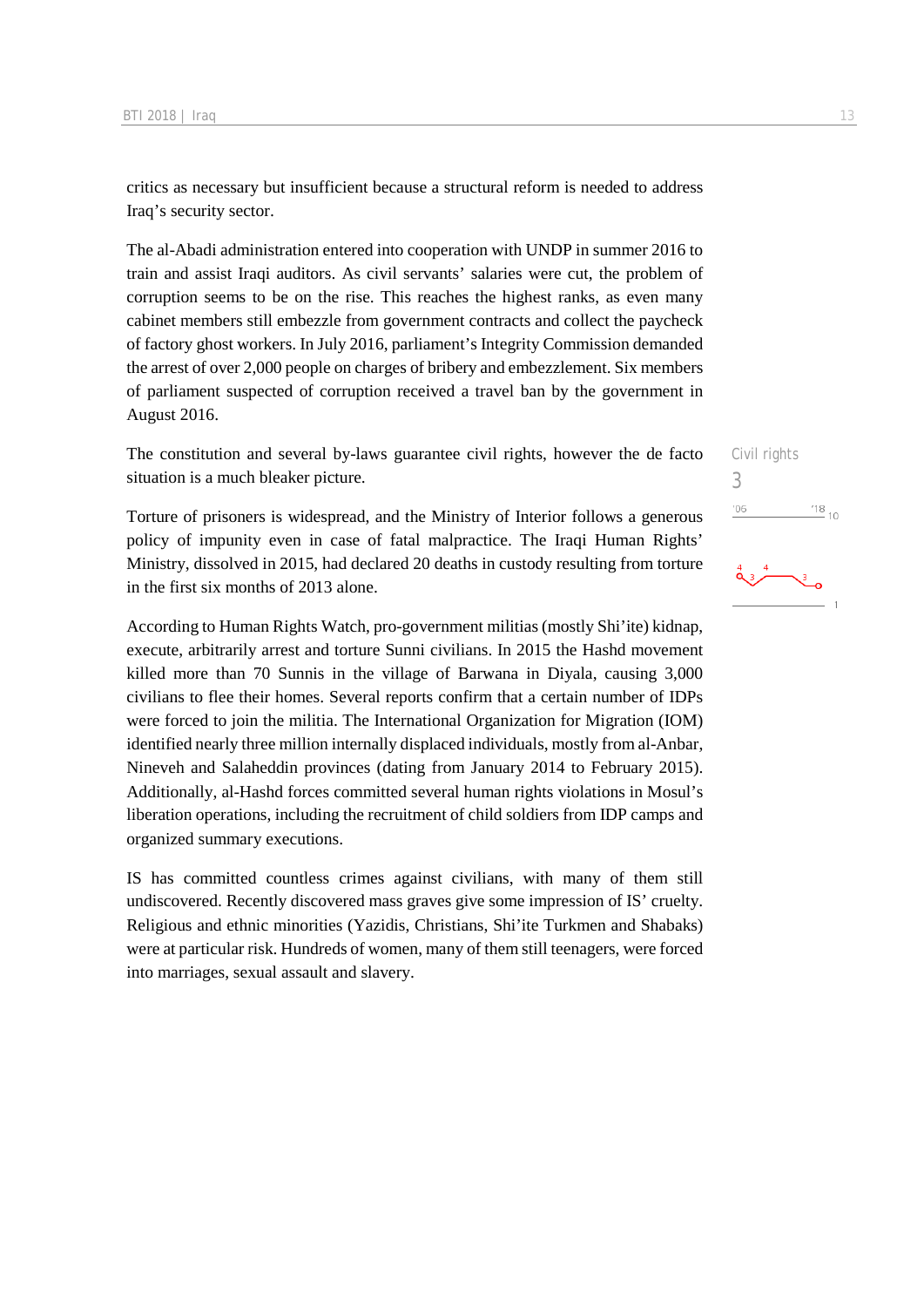critics as necessary but insufficient because a structural reform is needed to address Iraq's security sector.

The al-Abadi administration entered into cooperation with UNDP in summer 2016 to train and assist Iraqi auditors. As civil servants' salaries were cut, the problem of corruption seems to be on the rise. This reaches the highest ranks, as even many cabinet members still embezzle from government contracts and collect the paycheck of factory ghost workers. In July 2016, parliament's Integrity Commission demanded the arrest of over 2,000 people on charges of bribery and embezzlement. Six members of parliament suspected of corruption received a travel ban by the government in August 2016.

The constitution and several by-laws guarantee civil rights, however the de facto situation is a much bleaker picture.

Torture of prisoners is widespread, and the Ministry of Interior follows a generous policy of impunity even in case of fatal malpractice. The Iraqi Human Rights' Ministry, dissolved in 2015, had declared 20 deaths in custody resulting from torture in the first six months of 2013 alone.

According to Human Rights Watch, pro-government militias (mostly Shi'ite) kidnap, execute, arbitrarily arrest and torture Sunni civilians. In 2015 the Hashd movement killed more than 70 Sunnis in the village of Barwana in Diyala, causing 3,000 civilians to flee their homes. Several reports confirm that a certain number of IDPs were forced to join the militia. The International Organization for Migration (IOM) identified nearly three million internally displaced individuals, mostly from al-Anbar, Nineveh and Salaheddin provinces (dating from January 2014 to February 2015). Additionally, al-Hashd forces committed several human rights violations in Mosul's liberation operations, including the recruitment of child soldiers from IDP camps and organized summary executions.

IS has committed countless crimes against civilians, with many of them still undiscovered. Recently discovered mass graves give some impression of IS' cruelty. Religious and ethnic minorities (Yazidis, Christians, Shi'ite Turkmen and Shabaks) were at particular risk. Hundreds of women, many of them still teenagers, were forced into marriages, sexual assault and slavery.

Civil rights 3 $^{18}_{-10}$  $^{\prime}06$ 

$$
\overset{4}{\overbrace{\text{13.1}}}
$$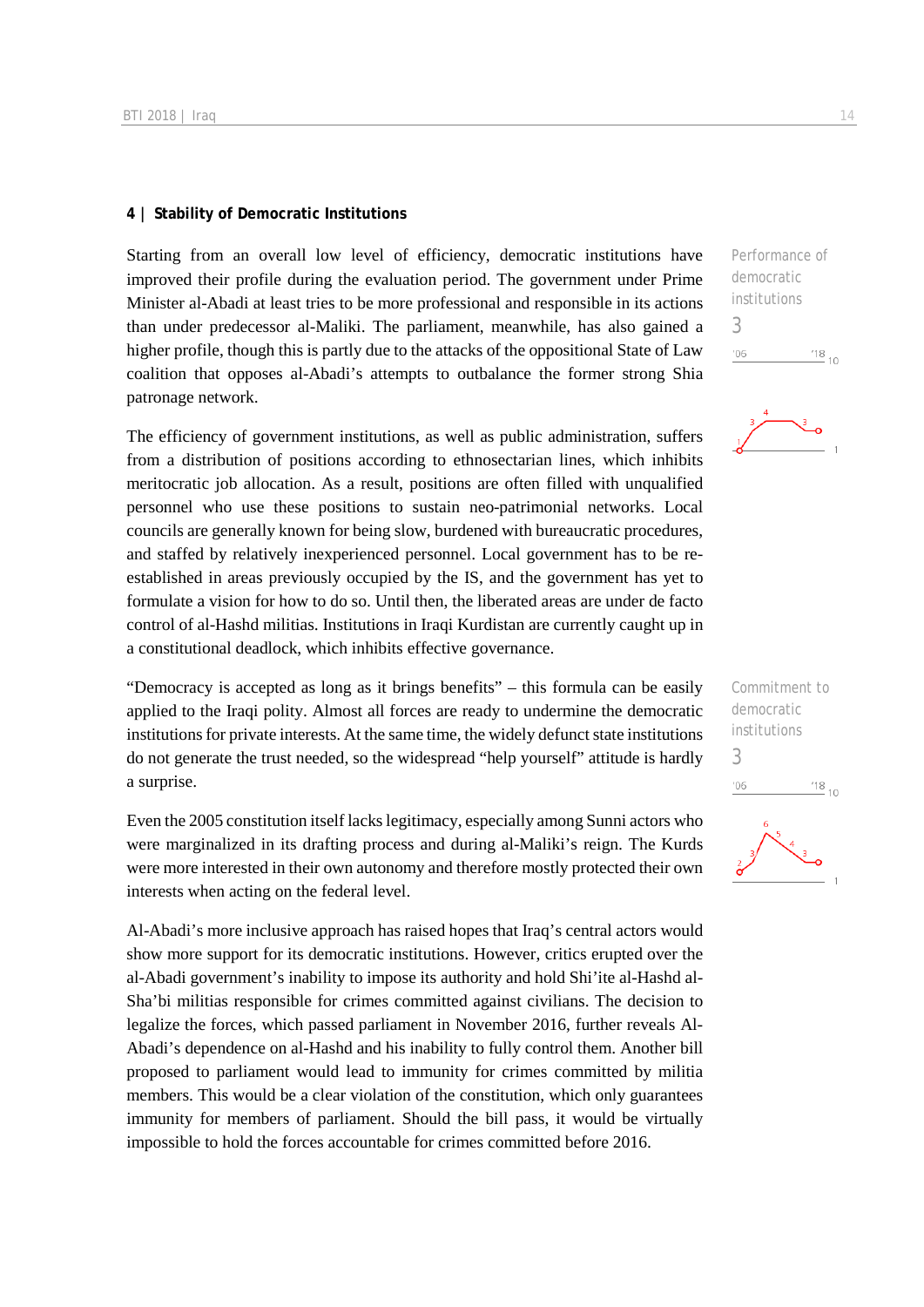#### **4 | Stability of Democratic Institutions**

Starting from an overall low level of efficiency, democratic institutions have improved their profile during the evaluation period. The government under Prime Minister al-Abadi at least tries to be more professional and responsible in its actions than under predecessor al-Maliki. The parliament, meanwhile, has also gained a higher profile, though this is partly due to the attacks of the oppositional State of Law coalition that opposes al-Abadi's attempts to outbalance the former strong Shia patronage network.

The efficiency of government institutions, as well as public administration, suffers from a distribution of positions according to ethnosectarian lines, which inhibits meritocratic job allocation. As a result, positions are often filled with unqualified personnel who use these positions to sustain neo-patrimonial networks. Local councils are generally known for being slow, burdened with bureaucratic procedures, and staffed by relatively inexperienced personnel. Local government has to be reestablished in areas previously occupied by the IS, and the government has yet to formulate a vision for how to do so. Until then, the liberated areas are under de facto control of al-Hashd militias. Institutions in Iraqi Kurdistan are currently caught up in a constitutional deadlock, which inhibits effective governance.

"Democracy is accepted as long as it brings benefits" – this formula can be easily applied to the Iraqi polity. Almost all forces are ready to undermine the democratic institutions for private interests. At the same time, the widely defunct state institutions do not generate the trust needed, so the widespread "help yourself" attitude is hardly a surprise.

Even the 2005 constitution itself lacks legitimacy, especially among Sunni actors who were marginalized in its drafting process and during al-Maliki's reign. The Kurds were more interested in their own autonomy and therefore mostly protected their own interests when acting on the federal level.

Al-Abadi's more inclusive approach has raised hopes that Iraq's central actors would show more support for its democratic institutions. However, critics erupted over the al-Abadi government's inability to impose its authority and hold Shi'ite al-Hashd al-Sha'bi militias responsible for crimes committed against civilians. The decision to legalize the forces, which passed parliament in November 2016, further reveals Al-Abadi's dependence on al-Hashd and his inability to fully control them. Another bill proposed to parliament would lead to immunity for crimes committed by militia members. This would be a clear violation of the constitution, which only guarantees immunity for members of parliament. Should the bill pass, it would be virtually impossible to hold the forces accountable for crimes committed before 2016.

| Performance of |            |  |
|----------------|------------|--|
| democratic     |            |  |
| institutions   |            |  |
| 3              |            |  |
| 106            | $^{18}$ 10 |  |
|                |            |  |



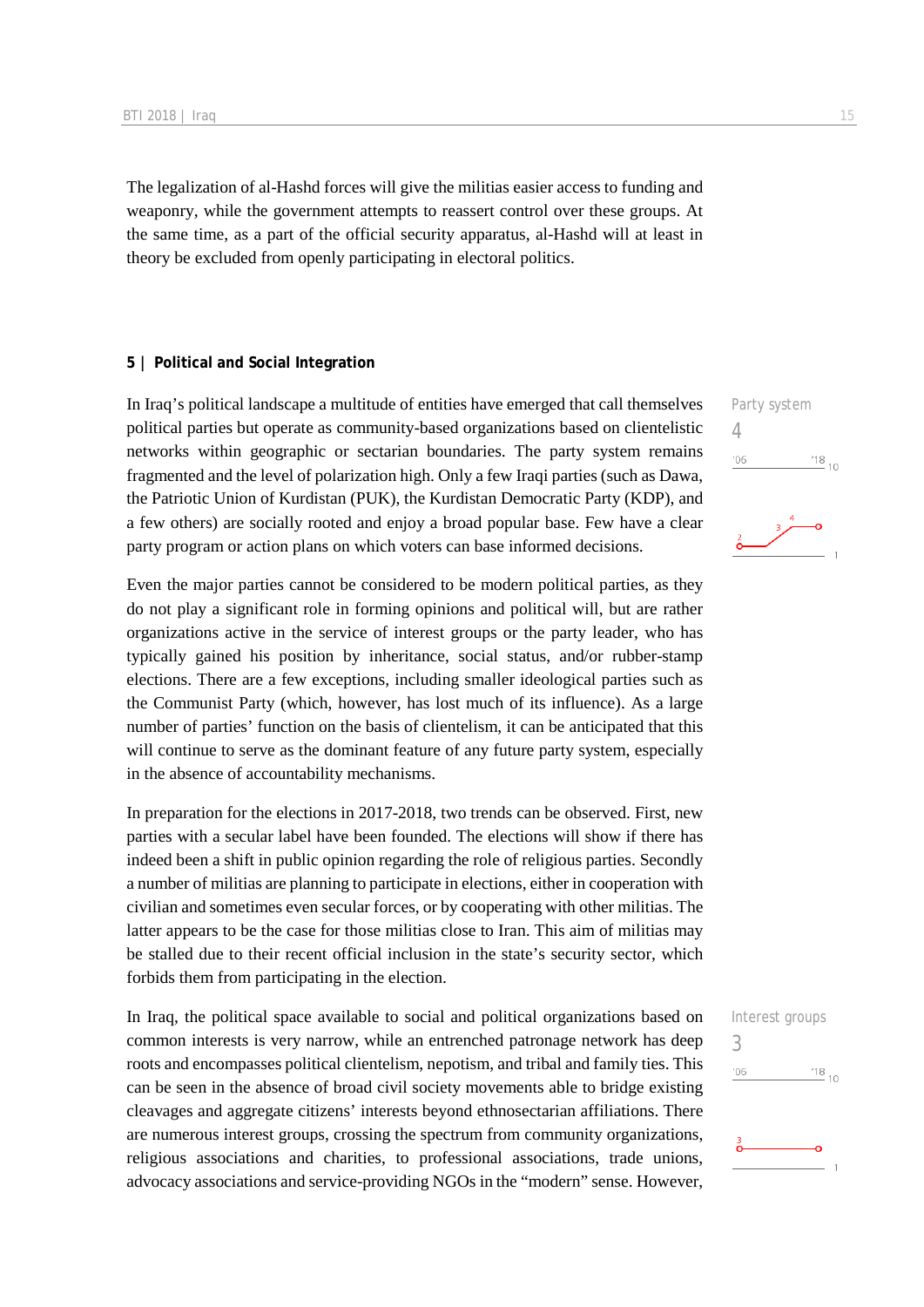The legalization of al-Hashd forces will give the militias easier access to funding and weaponry, while the government attempts to reassert control over these groups. At the same time, as a part of the official security apparatus, al-Hashd will at least in theory be excluded from openly participating in electoral politics.

#### **5 | Political and Social Integration**

In Iraq's political landscape a multitude of entities have emerged that call themselves political parties but operate as community-based organizations based on clientelistic networks within geographic or sectarian boundaries. The party system remains fragmented and the level of polarization high. Only a few Iraqi parties (such as Dawa, the Patriotic Union of Kurdistan (PUK), the Kurdistan Democratic Party (KDP), and a few others) are socially rooted and enjoy a broad popular base. Few have a clear party program or action plans on which voters can base informed decisions.

Even the major parties cannot be considered to be modern political parties, as they do not play a significant role in forming opinions and political will, but are rather organizations active in the service of interest groups or the party leader, who has typically gained his position by inheritance, social status, and/or rubber-stamp elections. There are a few exceptions, including smaller ideological parties such as the Communist Party (which, however, has lost much of its influence). As a large number of parties' function on the basis of clientelism, it can be anticipated that this will continue to serve as the dominant feature of any future party system, especially in the absence of accountability mechanisms.

In preparation for the elections in 2017-2018, two trends can be observed. First, new parties with a secular label have been founded. The elections will show if there has indeed been a shift in public opinion regarding the role of religious parties. Secondly a number of militias are planning to participate in elections, either in cooperation with civilian and sometimes even secular forces, or by cooperating with other militias. The latter appears to be the case for those militias close to Iran. This aim of militias may be stalled due to their recent official inclusion in the state's security sector, which forbids them from participating in the election.

In Iraq, the political space available to social and political organizations based on common interests is very narrow, while an entrenched patronage network has deep roots and encompasses political clientelism, nepotism, and tribal and family ties. This can be seen in the absence of broad civil society movements able to bridge existing cleavages and aggregate citizens' interests beyond ethnosectarian affiliations. There are numerous interest groups, crossing the spectrum from community organizations, religious associations and charities, to professional associations, trade unions, advocacy associations and service-providing NGOs in the "modern" sense. However,

Party system 4  $\frac{18}{10}$  10  $n6$ 

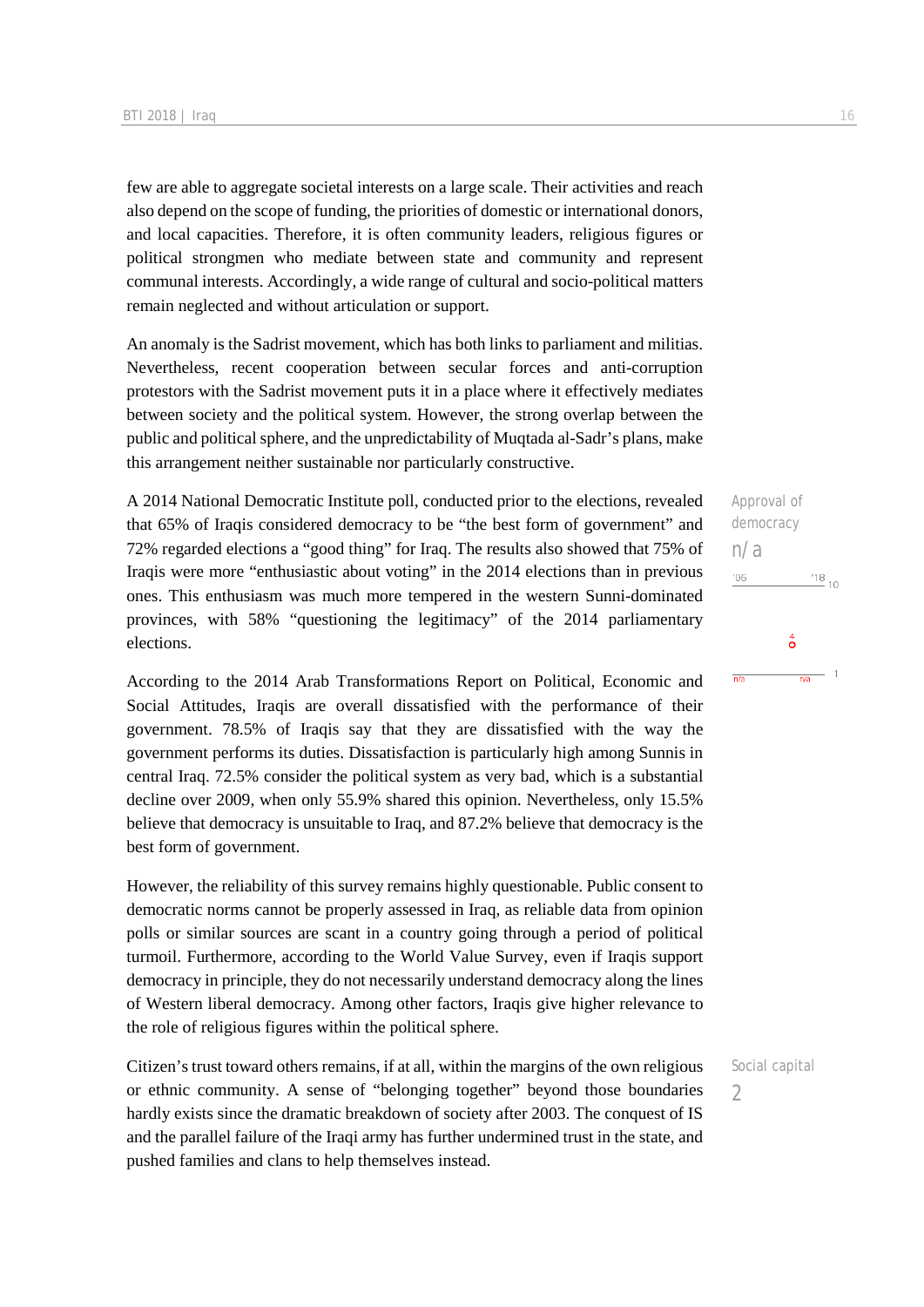few are able to aggregate societal interests on a large scale. Their activities and reach also depend on the scope of funding, the priorities of domestic or international donors, and local capacities. Therefore, it is often community leaders, religious figures or political strongmen who mediate between state and community and represent communal interests. Accordingly, a wide range of cultural and socio-political matters remain neglected and without articulation or support.

An anomaly is the Sadrist movement, which has both links to parliament and militias. Nevertheless, recent cooperation between secular forces and anti-corruption protestors with the Sadrist movement puts it in a place where it effectively mediates between society and the political system. However, the strong overlap between the public and political sphere, and the unpredictability of Muqtada al-Sadr's plans, make this arrangement neither sustainable nor particularly constructive.

A 2014 National Democratic Institute poll, conducted prior to the elections, revealed that 65% of Iraqis considered democracy to be "the best form of government" and 72% regarded elections a "good thing" for Iraq. The results also showed that 75% of Iraqis were more "enthusiastic about voting" in the 2014 elections than in previous ones. This enthusiasm was much more tempered in the western Sunni-dominated provinces, with 58% "questioning the legitimacy" of the 2014 parliamentary elections.

According to the 2014 Arab Transformations Report on Political, Economic and Social Attitudes, Iraqis are overall dissatisfied with the performance of their government. 78.5% of Iraqis say that they are dissatisfied with the way the government performs its duties. Dissatisfaction is particularly high among Sunnis in central Iraq. 72.5% consider the political system as very bad, which is a substantial decline over 2009, when only 55.9% shared this opinion. Nevertheless, only 15.5% believe that democracy is unsuitable to Iraq, and 87.2% believe that democracy is the best form of government.

However, the reliability of this survey remains highly questionable. Public consent to democratic norms cannot be properly assessed in Iraq, as reliable data from opinion polls or similar sources are scant in a country going through a period of political turmoil. Furthermore, according to the World Value Survey, even if Iraqis support democracy in principle, they do not necessarily understand democracy along the lines of Western liberal democracy. Among other factors, Iraqis give higher relevance to the role of religious figures within the political sphere.

Citizen's trust toward others remains, if at all, within the margins of the own religious or ethnic community. A sense of "belonging together" beyond those boundaries hardly exists since the dramatic breakdown of society after 2003. The conquest of IS and the parallel failure of the Iraqi army has further undermined trust in the state, and pushed families and clans to help themselves instead.

Approval of democracy n/a  $-06$  $^{18}_{-10}$  $\overset{4}{\circ}$  $-1$  $n/a$  $\overline{n/a}$ 

 $\overline{\phantom{0}}$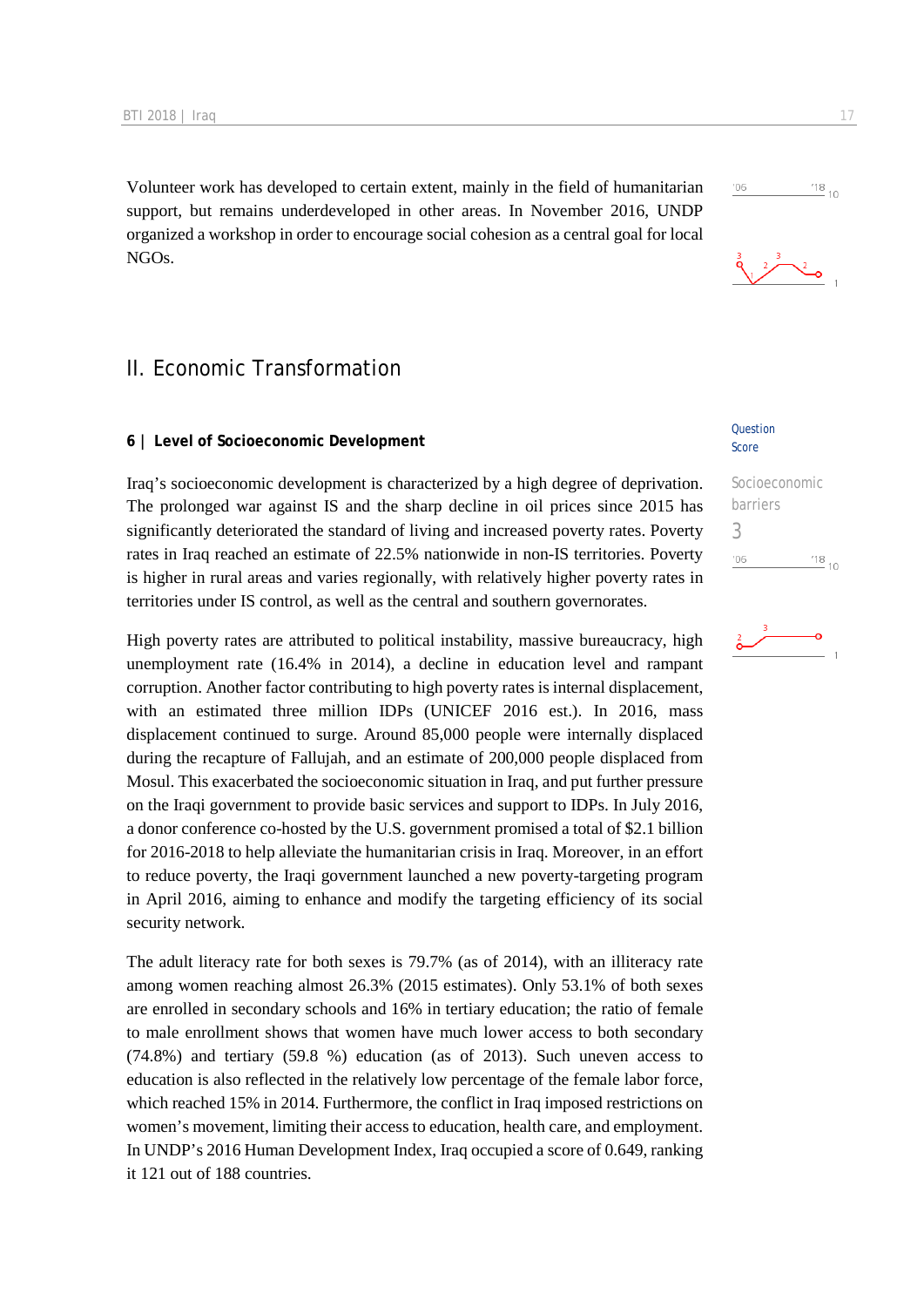Volunteer work has developed to certain extent, mainly in the field of humanitarian support, but remains underdeveloped in other areas. In November 2016, UNDP organized a workshop in order to encourage social cohesion as a central goal for local NGOs.

# II. Economic Transformation

#### **6 | Level of Socioeconomic Development**

Iraq's socioeconomic development is characterized by a high degree of deprivation. The prolonged war against IS and the sharp decline in oil prices since 2015 has significantly deteriorated the standard of living and increased poverty rates. Poverty rates in Iraq reached an estimate of 22.5% nationwide in non-IS territories. Poverty is higher in rural areas and varies regionally, with relatively higher poverty rates in territories under IS control, as well as the central and southern governorates.

High poverty rates are attributed to political instability, massive bureaucracy, high unemployment rate (16.4% in 2014), a decline in education level and rampant corruption. Another factor contributing to high poverty rates is internal displacement, with an estimated three million IDPs (UNICEF 2016 est.). In 2016, mass displacement continued to surge. Around 85,000 people were internally displaced during the recapture of Fallujah, and an estimate of 200,000 people displaced from Mosul. This exacerbated the socioeconomic situation in Iraq, and put further pressure on the Iraqi government to provide basic services and support to IDPs. In July 2016, a donor conference co-hosted by the U.S. government promised a total of \$2.1 billion for 2016-2018 to help alleviate the humanitarian crisis in Iraq. Moreover, in an effort to reduce poverty, the Iraqi government launched a new poverty-targeting program in April 2016, aiming to enhance and modify the targeting efficiency of its social security network.

The adult literacy rate for both sexes is 79.7% (as of 2014), with an illiteracy rate among women reaching almost 26.3% (2015 estimates). Only 53.1% of both sexes are enrolled in secondary schools and 16% in tertiary education; the ratio of female to male enrollment shows that women have much lower access to both secondary (74.8%) and tertiary (59.8 %) education (as of 2013). Such uneven access to education is also reflected in the relatively low percentage of the female labor force, which reached 15% in 2014. Furthermore, the conflict in Iraq imposed restrictions on women's movement, limiting their access to education, health care, and employment. In UNDP's 2016 Human Development Index, Iraq occupied a score of 0.649, ranking it 121 out of 188 countries.

#### Question Score

| Socioeconomic |           |
|---------------|-----------|
| barriers      |           |
| 3             |           |
| '06           | $18_{10}$ |



 $\frac{18}{10}$  10



 $'06$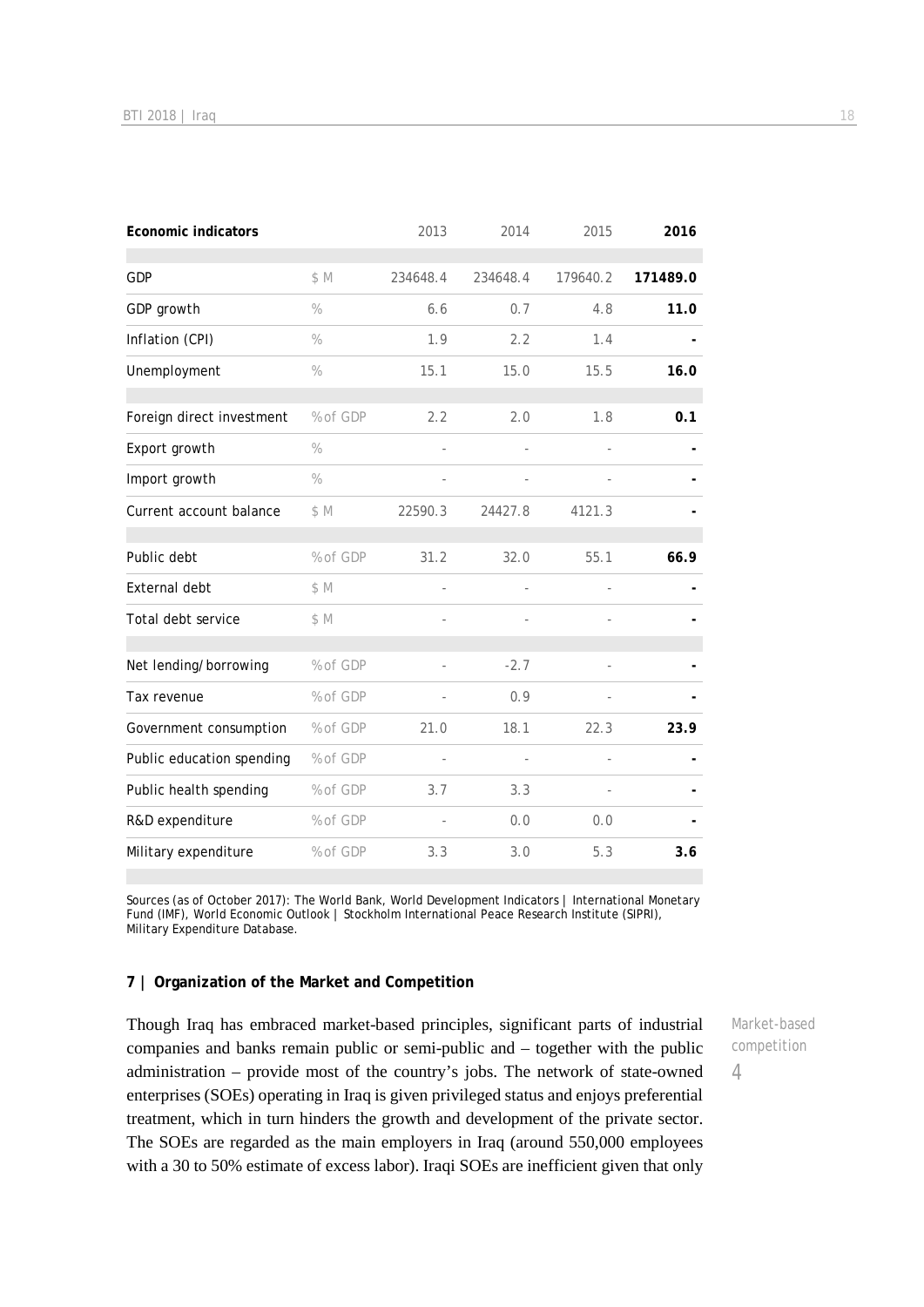| <b>Economic indicators</b> |          | 2013     | 2014           | 2015                     | 2016     |
|----------------------------|----------|----------|----------------|--------------------------|----------|
| GDP                        | \$M      | 234648.4 | 234648.4       | 179640.2                 | 171489.0 |
|                            |          |          |                |                          |          |
| GDP growth                 | $\%$     | 6.6      | 0.7            | 4.8                      | 11.0     |
| Inflation (CPI)            | $\%$     | 1.9      | 2.2            | 1.4                      |          |
| Unemployment               | $\%$     | 15.1     | 15.0           | 15.5                     | 16.0     |
| Foreign direct investment  | % of GDP | 2.2      | 2.0            | 1.8                      | 0.1      |
| Export growth              | $\%$     | ÷,       | $\overline{a}$ |                          |          |
| Import growth              | $\%$     |          |                |                          |          |
| Current account balance    | \$M      | 22590.3  | 24427.8        | 4121.3                   |          |
| Public debt                | % of GDP | 31.2     | 32.0           | 55.1                     | 66.9     |
| External debt              | \$M      | ÷,       |                |                          |          |
| Total debt service         | \$M      |          |                |                          |          |
|                            |          |          |                |                          |          |
| Net lending/borrowing      | % of GDP |          | $-2.7$         |                          |          |
| Tax revenue                | % of GDP |          | 0.9            |                          |          |
| Government consumption     | % of GDP | 21.0     | 18.1           | 22.3                     | 23.9     |
| Public education spending  | % of GDP | ÷,       | L,             | ÷,                       |          |
| Public health spending     | % of GDP | 3.7      | 3.3            | $\overline{\phantom{a}}$ |          |
| R&D expenditure            | % of GDP |          | 0.0            | 0.0                      |          |
| Military expenditure       | % of GDP | 3.3      | 3.0            | 5.3                      | 3.6      |

Sources (as of October 2017): The World Bank, World Development Indicators | International Monetary Fund (IMF), World Economic Outlook | Stockholm International Peace Research Institute (SIPRI), Military Expenditure Database.

#### **7 | Organization of the Market and Competition**

Though Iraq has embraced market-based principles, significant parts of industrial companies and banks remain public or semi-public and – together with the public administration – provide most of the country's jobs. The network of state-owned enterprises (SOEs) operating in Iraq is given privileged status and enjoys preferential treatment, which in turn hinders the growth and development of the private sector. The SOEs are regarded as the main employers in Iraq (around 550,000 employees with a 30 to 50% estimate of excess labor). Iraqi SOEs are inefficient given that only

Market-based competition

4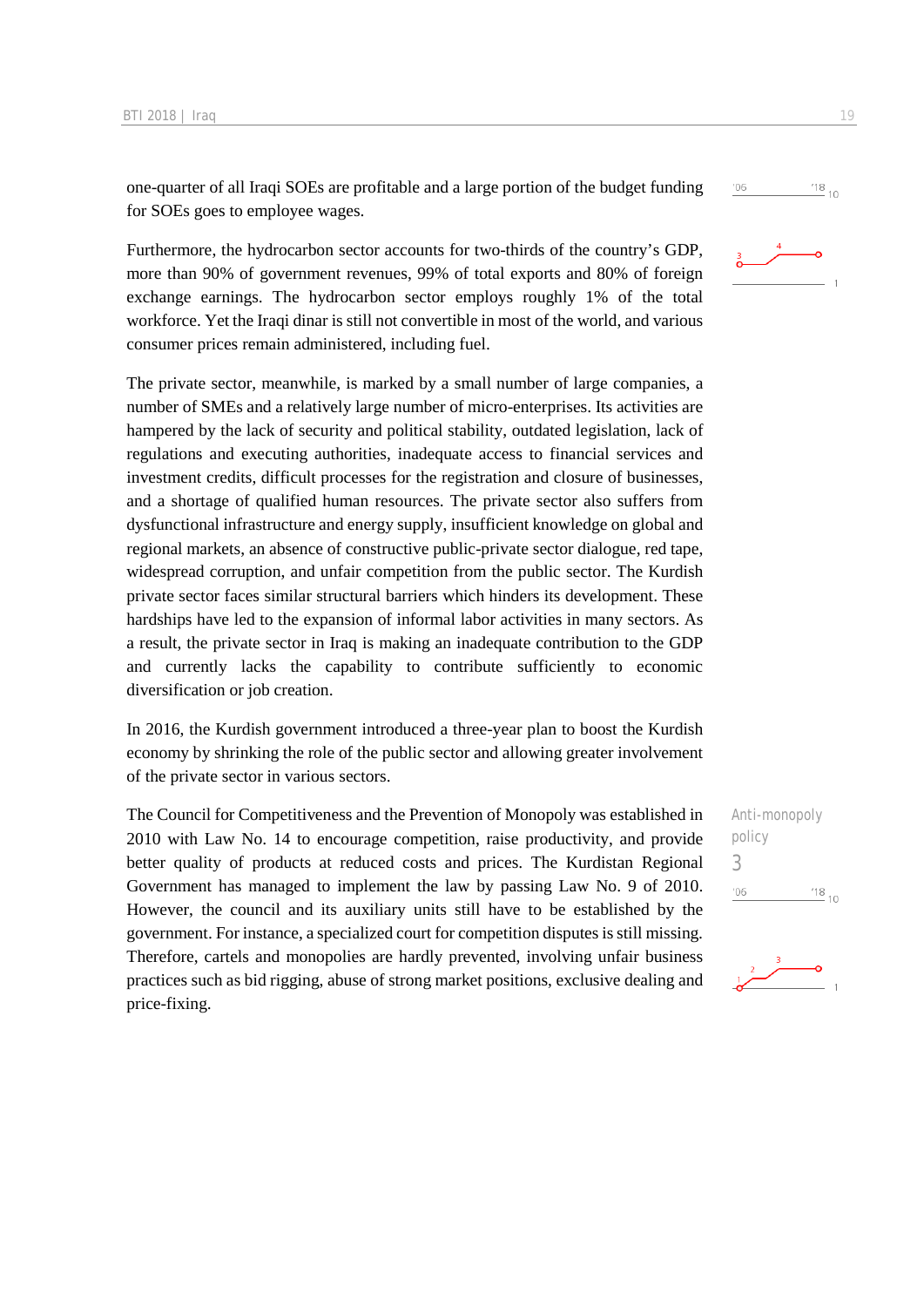one-quarter of all Iraqi SOEs are profitable and a large portion of the budget funding for SOEs goes to employee wages.

Furthermore, the hydrocarbon sector accounts for two-thirds of the country's GDP, more than 90% of government revenues, 99% of total exports and 80% of foreign exchange earnings. The hydrocarbon sector employs roughly 1% of the total workforce. Yet the Iraqi dinar is still not convertible in most of the world, and various consumer prices remain administered, including fuel.

The private sector, meanwhile, is marked by a small number of large companies, a number of SMEs and a relatively large number of micro-enterprises. Its activities are hampered by the lack of security and political stability, outdated legislation, lack of regulations and executing authorities, inadequate access to financial services and investment credits, difficult processes for the registration and closure of businesses, and a shortage of qualified human resources. The private sector also suffers from dysfunctional infrastructure and energy supply, insufficient knowledge on global and regional markets, an absence of constructive public-private sector dialogue, red tape, widespread corruption, and unfair competition from the public sector. The Kurdish private sector faces similar structural barriers which hinders its development. These hardships have led to the expansion of informal labor activities in many sectors. As a result, the private sector in Iraq is making an inadequate contribution to the GDP and currently lacks the capability to contribute sufficiently to economic diversification or job creation.

In 2016, the Kurdish government introduced a three-year plan to boost the Kurdish economy by shrinking the role of the public sector and allowing greater involvement of the private sector in various sectors.

The Council for Competitiveness and the Prevention of Monopoly was established in 2010 with Law No. 14 to encourage competition, raise productivity, and provide better quality of products at reduced costs and prices. The Kurdistan Regional Government has managed to implement the law by passing Law No. 9 of 2010. However, the council and its auxiliary units still have to be established by the government. For instance, a specialized court for competition disputes is still missing. Therefore, cartels and monopolies are hardly prevented, involving unfair business practices such as bid rigging, abuse of strong market positions, exclusive dealing and price-fixing.

Anti-monopoly policy 3 $\frac{18}{10}$  10  $'06$ 



 $\frac{18}{10}$  10



 $'06$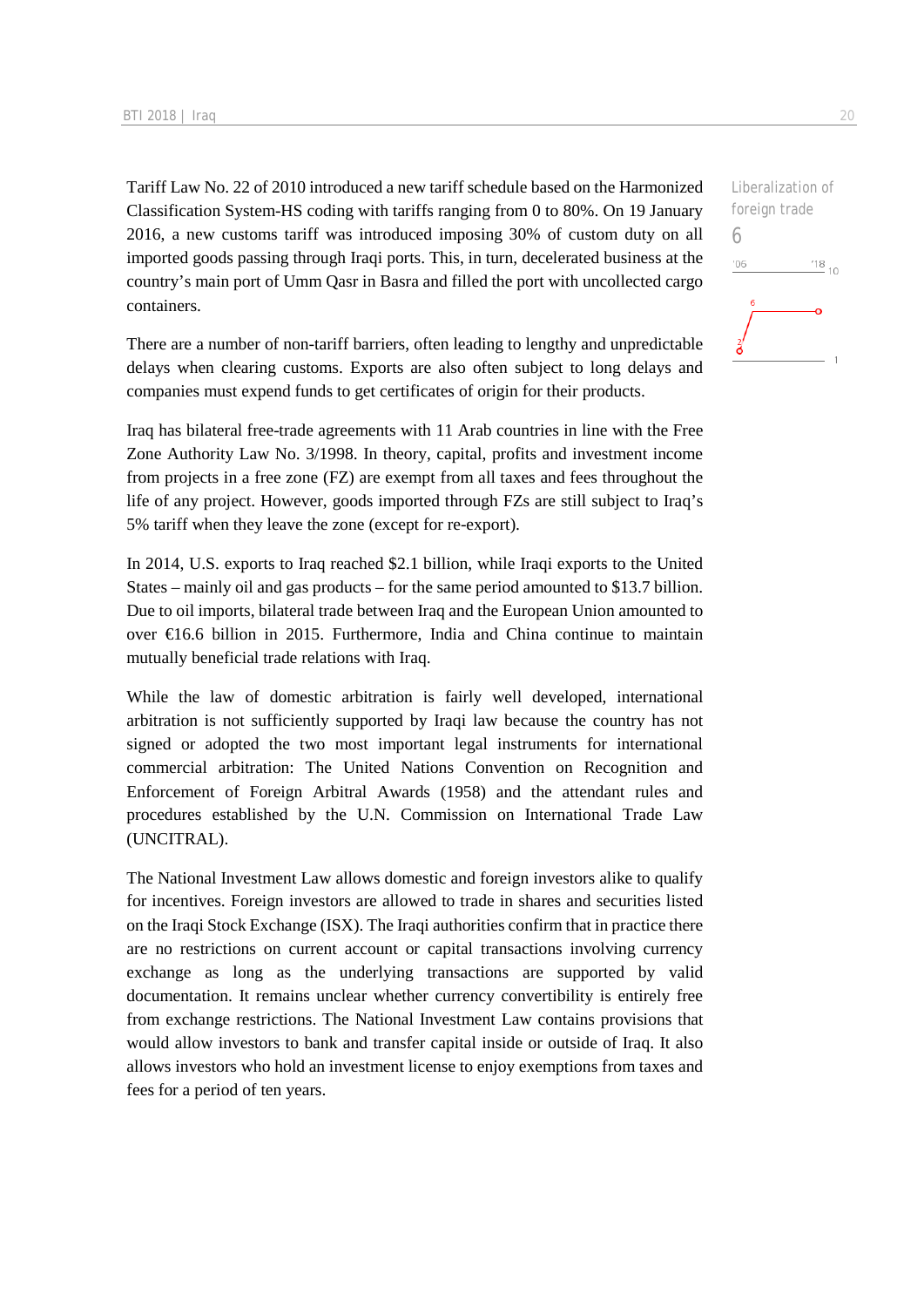Tariff Law No. 22 of 2010 introduced a new tariff schedule based on the Harmonized Classification System-HS coding with tariffs ranging from 0 to 80%. On 19 January 2016, a new customs tariff was introduced imposing 30% of custom duty on all imported goods passing through Iraqi ports. This, in turn, decelerated business at the country's main port of Umm Qasr in Basra and filled the port with uncollected cargo containers.

There are a number of non-tariff barriers, often leading to lengthy and unpredictable delays when clearing customs. Exports are also often subject to long delays and companies must expend funds to get certificates of origin for their products.

Iraq has bilateral free-trade agreements with 11 Arab countries in line with the Free Zone Authority Law No. 3/1998. In theory, capital, profits and investment income from projects in a free zone (FZ) are exempt from all taxes and fees throughout the life of any project. However, goods imported through FZs are still subject to Iraq's 5% tariff when they leave the zone (except for re-export).

In 2014, U.S. exports to Iraq reached \$2.1 billion, while Iraqi exports to the United States – mainly oil and gas products – for the same period amounted to \$13.7 billion. Due to oil imports, bilateral trade between Iraq and the European Union amounted to over €16.6 billion in 2015. Furthermore, India and China continue to maintain mutually beneficial trade relations with Iraq.

While the law of domestic arbitration is fairly well developed, international arbitration is not sufficiently supported by Iraqi law because the country has not signed or adopted the two most important legal instruments for international commercial arbitration: The United Nations Convention on Recognition and Enforcement of Foreign Arbitral Awards (1958) and the attendant rules and procedures established by the U.N. Commission on International Trade Law (UNCITRAL).

The National Investment Law allows domestic and foreign investors alike to qualify for incentives. Foreign investors are allowed to trade in shares and securities listed on the Iraqi Stock Exchange (ISX). The Iraqi authorities confirm that in practice there are no restrictions on current account or capital transactions involving currency exchange as long as the underlying transactions are supported by valid documentation. It remains unclear whether currency convertibility is entirely free from exchange restrictions. The National Investment Law contains provisions that would allow investors to bank and transfer capital inside or outside of Iraq. It also allows investors who hold an investment license to enjoy exemptions from taxes and fees for a period of ten years.

Liberalization of foreign trade 6 $'06$  $^{18}_{-10}$ á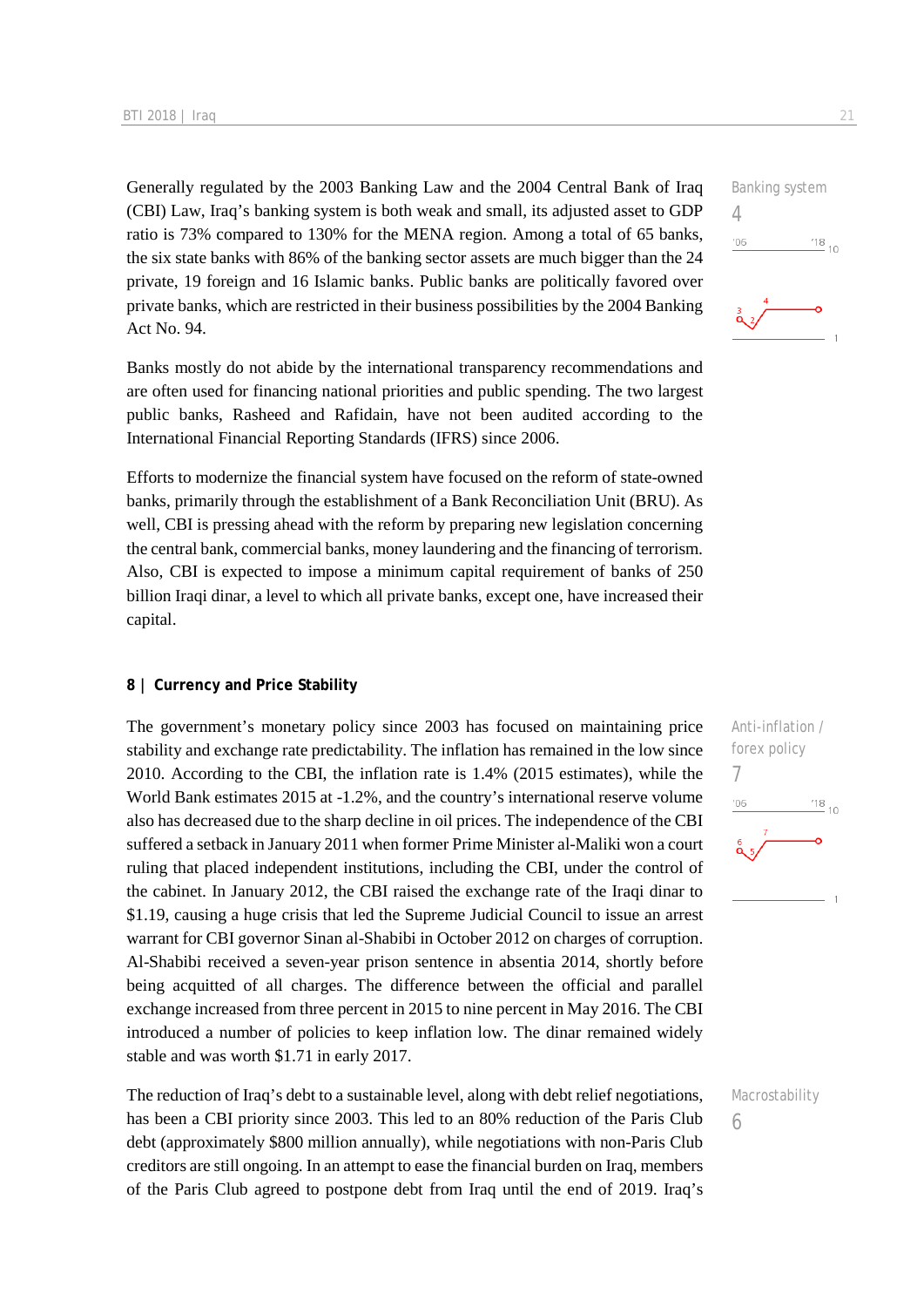Generally regulated by the 2003 Banking Law and the 2004 Central Bank of Iraq (CBI) Law, Iraq's banking system is both weak and small, its adjusted asset to GDP ratio is 73% compared to 130% for the MENA region. Among a total of 65 banks, the six state banks with 86% of the banking sector assets are much bigger than the 24 private, 19 foreign and 16 Islamic banks. Public banks are politically favored over private banks, which are restricted in their business possibilities by the 2004 Banking Act No. 94.

Banks mostly do not abide by the international transparency recommendations and are often used for financing national priorities and public spending. The two largest public banks, Rasheed and Rafidain, have not been audited according to the International Financial Reporting Standards (IFRS) since 2006.

Efforts to modernize the financial system have focused on the reform of state-owned banks, primarily through the establishment of a Bank Reconciliation Unit (BRU). As well, CBI is pressing ahead with the reform by preparing new legislation concerning the central bank, commercial banks, money laundering and the financing of terrorism. Also, CBI is expected to impose a minimum capital requirement of banks of 250 billion Iraqi dinar, a level to which all private banks, except one, have increased their capital.

#### **8 | Currency and Price Stability**

The government's monetary policy since 2003 has focused on maintaining price stability and exchange rate predictability. The inflation has remained in the low since 2010. According to the CBI, the inflation rate is 1.4% (2015 estimates), while the World Bank estimates 2015 at -1.2%, and the country's international reserve volume also has decreased due to the sharp decline in oil prices. The independence of the CBI suffered a setback in January 2011 when former Prime Minister al-Maliki won a court ruling that placed independent institutions, including the CBI, under the control of the cabinet. In January 2012, the CBI raised the exchange rate of the Iraqi dinar to \$1.19, causing a huge crisis that led the Supreme Judicial Council to issue an arrest warrant for CBI governor Sinan al-Shabibi in October 2012 on charges of corruption. Al-Shabibi received a seven-year prison sentence in absentia 2014, shortly before being acquitted of all charges. The difference between the official and parallel exchange increased from three percent in 2015 to nine percent in May 2016. The CBI introduced a number of policies to keep inflation low. The dinar remained widely stable and was worth \$1.71 in early 2017.

The reduction of Iraq's debt to a sustainable level, along with debt relief negotiations, has been a CBI priority since 2003. This led to an 80% reduction of the Paris Club debt (approximately \$800 million annually), while negotiations with non-Paris Club creditors are still ongoing. In an attempt to ease the financial burden on Iraq, members of the Paris Club agreed to postpone debt from Iraq until the end of 2019. Iraq's





Macrostability

<sup>6</sup>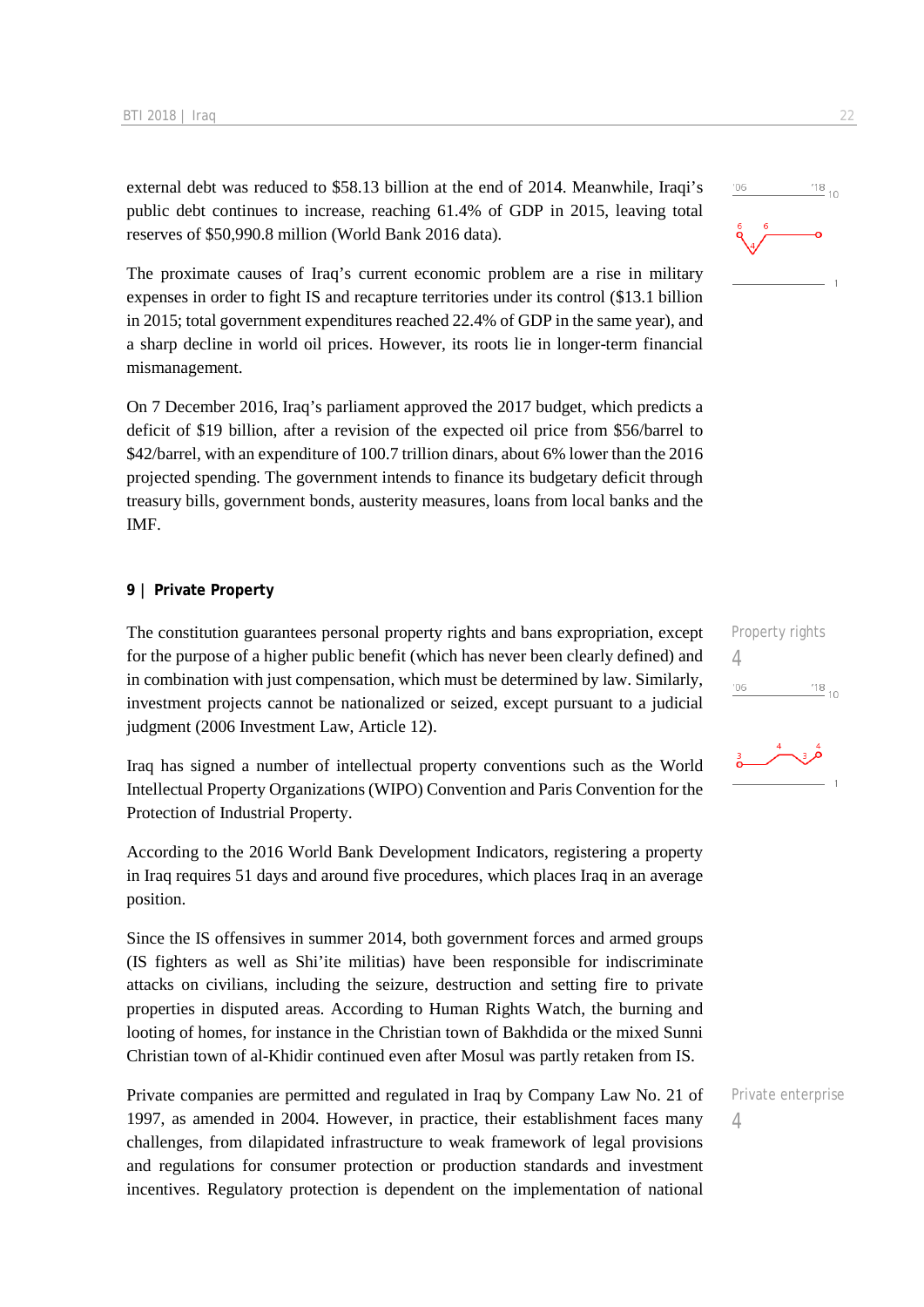external debt was reduced to \$58.13 billion at the end of 2014. Meanwhile, Iraqi's public debt continues to increase, reaching 61.4% of GDP in 2015, leaving total reserves of \$50,990.8 million (World Bank 2016 data).

The proximate causes of Iraq's current economic problem are a rise in military expenses in order to fight IS and recapture territories under its control (\$13.1 billion in 2015; total government expenditures reached 22.4% of GDP in the same year), and a sharp decline in world oil prices. However, its roots lie in longer-term financial mismanagement.

On 7 December 2016, Iraq's parliament approved the 2017 budget, which predicts a deficit of \$19 billion, after a revision of the expected oil price from \$56/barrel to \$42/barrel, with an expenditure of 100.7 trillion dinars, about 6% lower than the 2016 projected spending. The government intends to finance its budgetary deficit through treasury bills, government bonds, austerity measures, loans from local banks and the **IMF** 

#### **9 | Private Property**

The constitution guarantees personal property rights and bans expropriation, except for the purpose of a higher public benefit (which has never been clearly defined) and in combination with just compensation, which must be determined by law. Similarly, investment projects cannot be nationalized or seized, except pursuant to a judicial judgment (2006 Investment Law, Article 12).

Iraq has signed a number of intellectual property conventions such as the World Intellectual Property Organizations (WIPO) Convention and Paris Convention for the Protection of Industrial Property.

According to the 2016 World Bank Development Indicators, registering a property in Iraq requires 51 days and around five procedures, which places Iraq in an average position.

Since the IS offensives in summer 2014, both government forces and armed groups (IS fighters as well as Shi'ite militias) have been responsible for indiscriminate attacks on civilians, including the seizure, destruction and setting fire to private properties in disputed areas. According to Human Rights Watch, the burning and looting of homes, for instance in the Christian town of Bakhdida or the mixed Sunni Christian town of al-Khidir continued even after Mosul was partly retaken from IS.

Private companies are permitted and regulated in Iraq by Company Law No. 21 of 1997, as amended in 2004. However, in practice, their establishment faces many challenges, from dilapidated infrastructure to weak framework of legal provisions and regulations for consumer protection or production standards and investment incentives. Regulatory protection is dependent on the implementation of national

 $'06$ 

Property rights 4  $\frac{18}{10}$  10  $06'$ 



Private enterprise 4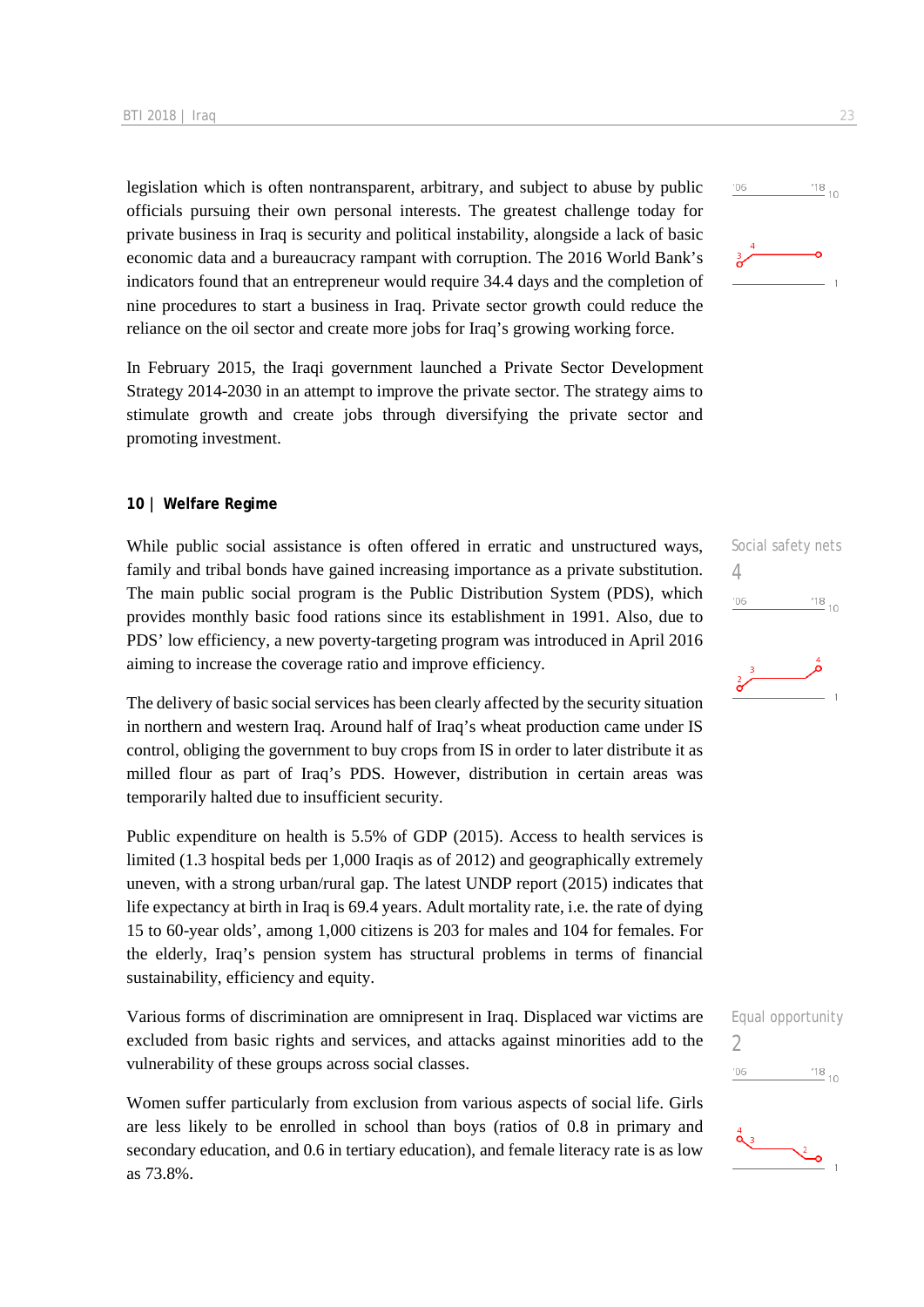legislation which is often nontransparent, arbitrary, and subject to abuse by public officials pursuing their own personal interests. The greatest challenge today for private business in Iraq is security and political instability, alongside a lack of basic economic data and a bureaucracy rampant with corruption. The 2016 World Bank's indicators found that an entrepreneur would require 34.4 days and the completion of nine procedures to start a business in Iraq. Private sector growth could reduce the reliance on the oil sector and create more jobs for Iraq's growing working force.

In February 2015, the Iraqi government launched a Private Sector Development Strategy 2014-2030 in an attempt to improve the private sector. The strategy aims to stimulate growth and create jobs through diversifying the private sector and promoting investment.

#### **10 | Welfare Regime**

While public social assistance is often offered in erratic and unstructured ways, family and tribal bonds have gained increasing importance as a private substitution. The main public social program is the Public Distribution System (PDS), which provides monthly basic food rations since its establishment in 1991. Also, due to PDS' low efficiency, a new poverty-targeting program was introduced in April 2016 aiming to increase the coverage ratio and improve efficiency.

The delivery of basic social services has been clearly affected by the security situation in northern and western Iraq. Around half of Iraq's wheat production came under IS control, obliging the government to buy crops from IS in order to later distribute it as milled flour as part of Iraq's PDS. However, distribution in certain areas was temporarily halted due to insufficient security.

Public expenditure on health is 5.5% of GDP (2015). Access to health services is limited (1.3 hospital beds per 1,000 Iraqis as of 2012) and geographically extremely uneven, with a strong urban/rural gap. The latest UNDP report (2015) indicates that life expectancy at birth in Iraq is 69.4 years. Adult mortality rate, i.e. the rate of dying 15 to 60-year olds', among 1,000 citizens is 203 for males and 104 for females. For the elderly, Iraq's pension system has structural problems in terms of financial sustainability, efficiency and equity.

Various forms of discrimination are omnipresent in Iraq. Displaced war victims are excluded from basic rights and services, and attacks against minorities add to the vulnerability of these groups across social classes.

Women suffer particularly from exclusion from various aspects of social life. Girls are less likely to be enrolled in school than boys (ratios of 0.8 in primary and secondary education, and 0.6 in tertiary education), and female literacy rate is as low as 73.8%.







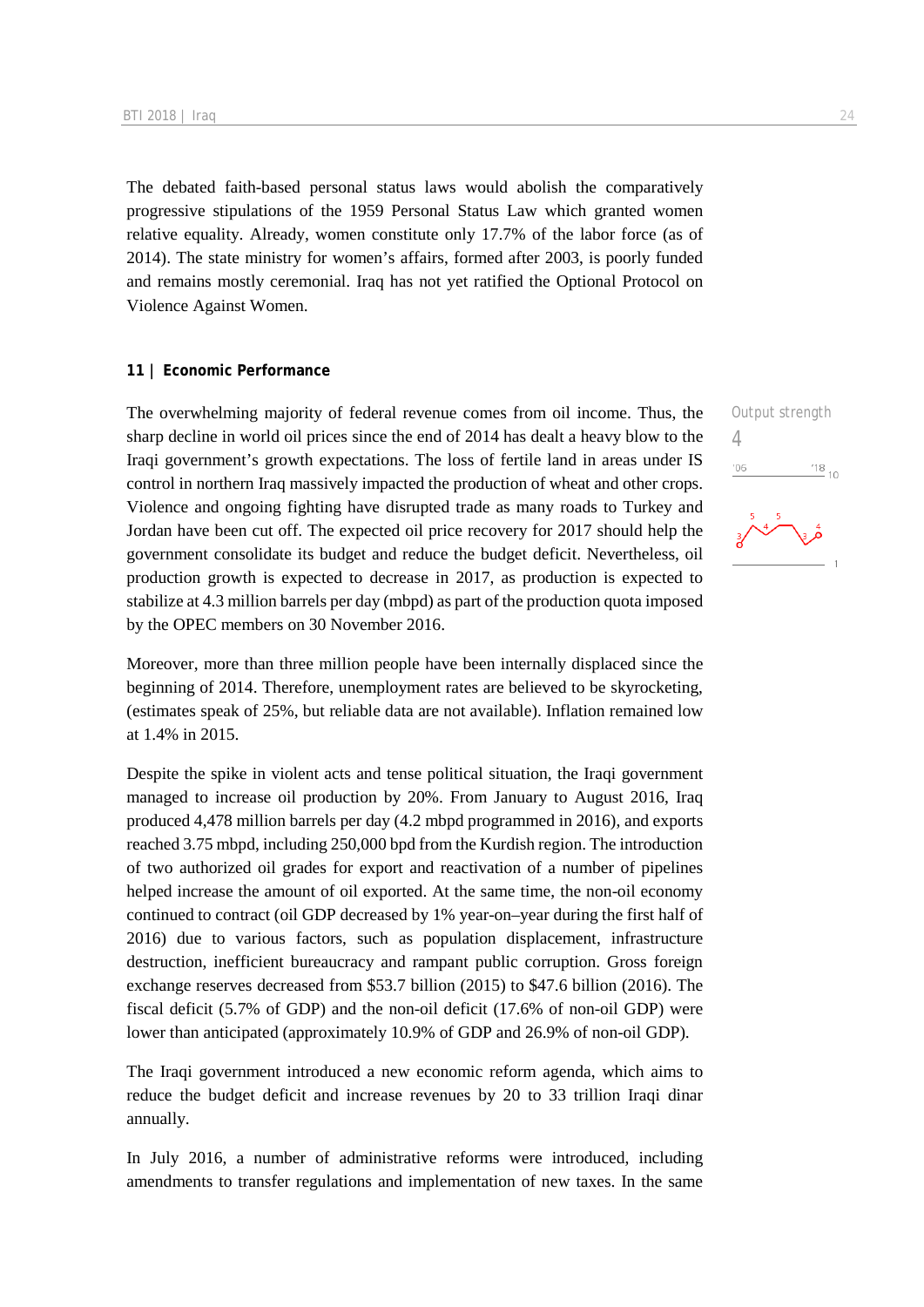The debated faith-based personal status laws would abolish the comparatively progressive stipulations of the 1959 Personal Status Law which granted women relative equality. Already, women constitute only 17.7% of the labor force (as of 2014). The state ministry for women's affairs, formed after 2003, is poorly funded and remains mostly ceremonial. Iraq has not yet ratified the Optional Protocol on Violence Against Women.

#### **11 | Economic Performance**

The overwhelming majority of federal revenue comes from oil income. Thus, the sharp decline in world oil prices since the end of 2014 has dealt a heavy blow to the Iraqi government's growth expectations. The loss of fertile land in areas under IS control in northern Iraq massively impacted the production of wheat and other crops. Violence and ongoing fighting have disrupted trade as many roads to Turkey and Jordan have been cut off. The expected oil price recovery for 2017 should help the government consolidate its budget and reduce the budget deficit. Nevertheless, oil production growth is expected to decrease in 2017, as production is expected to stabilize at 4.3 million barrels per day (mbpd) as part of the production quota imposed by the OPEC members on 30 November 2016.

Moreover, more than three million people have been internally displaced since the beginning of 2014. Therefore, unemployment rates are believed to be skyrocketing, (estimates speak of 25%, but reliable data are not available). Inflation remained low at 1.4% in 2015.

Despite the spike in violent acts and tense political situation, the Iraqi government managed to increase oil production by 20%. From January to August 2016, Iraq produced 4,478 million barrels per day (4.2 mbpd programmed in 2016), and exports reached 3.75 mbpd, including 250,000 bpd from the Kurdish region. The introduction of two authorized oil grades for export and reactivation of a number of pipelines helped increase the amount of oil exported. At the same time, the non-oil economy continued to contract (oil GDP decreased by 1% year-on–year during the first half of 2016) due to various factors, such as population displacement, infrastructure destruction, inefficient bureaucracy and rampant public corruption. Gross foreign exchange reserves decreased from \$53.7 billion (2015) to \$47.6 billion (2016). The fiscal deficit (5.7% of GDP) and the non-oil deficit (17.6% of non-oil GDP) were lower than anticipated (approximately 10.9% of GDP and 26.9% of non-oil GDP).

The Iraqi government introduced a new economic reform agenda, which aims to reduce the budget deficit and increase revenues by 20 to 33 trillion Iraqi dinar annually.

In July 2016, a number of administrative reforms were introduced, including amendments to transfer regulations and implementation of new taxes. In the same 4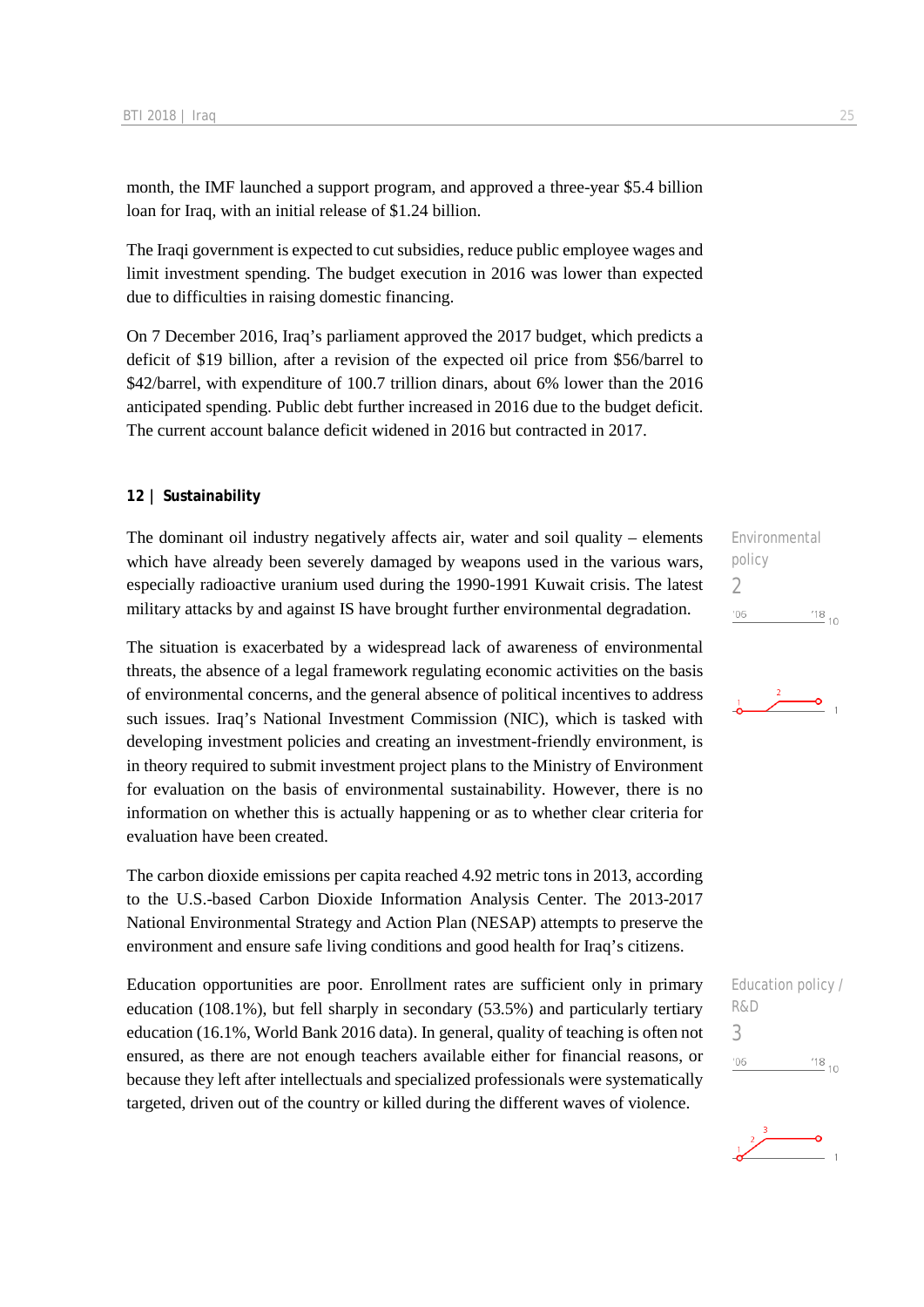month, the IMF launched a support program, and approved a three-year \$5.4 billion loan for Iraq, with an initial release of \$1.24 billion.

The Iraqi government is expected to cut subsidies, reduce public employee wages and limit investment spending. The budget execution in 2016 was lower than expected due to difficulties in raising domestic financing.

On 7 December 2016, Iraq's parliament approved the 2017 budget, which predicts a deficit of \$19 billion, after a revision of the expected oil price from \$56/barrel to \$42/barrel, with expenditure of 100.7 trillion dinars, about 6% lower than the 2016 anticipated spending. Public debt further increased in 2016 due to the budget deficit. The current account balance deficit widened in 2016 but contracted in 2017.

#### **12 | Sustainability**

The dominant oil industry negatively affects air, water and soil quality – elements which have already been severely damaged by weapons used in the various wars, especially radioactive uranium used during the 1990-1991 Kuwait crisis. The latest military attacks by and against IS have brought further environmental degradation.

The situation is exacerbated by a widespread lack of awareness of environmental threats, the absence of a legal framework regulating economic activities on the basis of environmental concerns, and the general absence of political incentives to address such issues. Iraq's National Investment Commission (NIC), which is tasked with developing investment policies and creating an investment-friendly environment, is in theory required to submit investment project plans to the Ministry of Environment for evaluation on the basis of environmental sustainability. However, there is no information on whether this is actually happening or as to whether clear criteria for evaluation have been created.

The carbon dioxide emissions per capita reached 4.92 metric tons in 2013, according to the U.S.-based Carbon Dioxide Information Analysis Center. The 2013-2017 National Environmental Strategy and Action Plan (NESAP) attempts to preserve the environment and ensure safe living conditions and good health for Iraq's citizens.

Education opportunities are poor. Enrollment rates are sufficient only in primary education (108.1%), but fell sharply in secondary (53.5%) and particularly tertiary education (16.1%, World Bank 2016 data). In general, quality of teaching is often not ensured, as there are not enough teachers available either for financial reasons, or because they left after intellectuals and specialized professionals were systematically targeted, driven out of the country or killed during the different waves of violence.

Environmental policy 2  $^{18}_{-10}$  $'06$ 





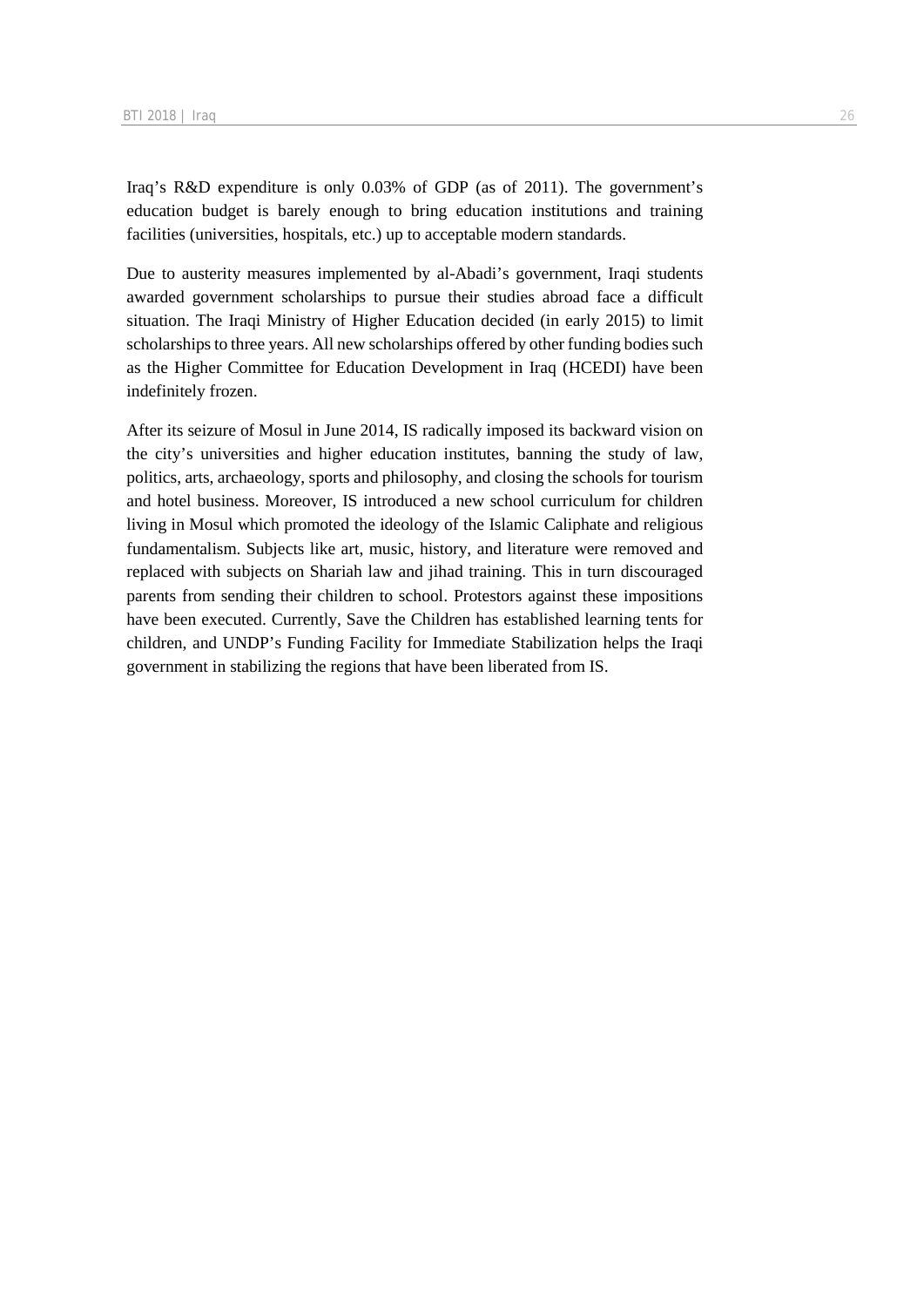Iraq's R&D expenditure is only 0.03% of GDP (as of 2011). The government's education budget is barely enough to bring education institutions and training facilities (universities, hospitals, etc.) up to acceptable modern standards.

Due to austerity measures implemented by al-Abadi's government, Iraqi students awarded government scholarships to pursue their studies abroad face a difficult situation. The Iraqi Ministry of Higher Education decided (in early 2015) to limit scholarships to three years. All new scholarships offered by other funding bodies such as the Higher Committee for Education Development in Iraq (HCEDI) have been indefinitely frozen.

After its seizure of Mosul in June 2014, IS radically imposed its backward vision on the city's universities and higher education institutes, banning the study of law, politics, arts, archaeology, sports and philosophy, and closing the schools for tourism and hotel business. Moreover, IS introduced a new school curriculum for children living in Mosul which promoted the ideology of the Islamic Caliphate and religious fundamentalism. Subjects like art, music, history, and literature were removed and replaced with subjects on Shariah law and jihad training. This in turn discouraged parents from sending their children to school. Protestors against these impositions have been executed. Currently, Save the Children has established learning tents for children, and UNDP's Funding Facility for Immediate Stabilization helps the Iraqi government in stabilizing the regions that have been liberated from IS.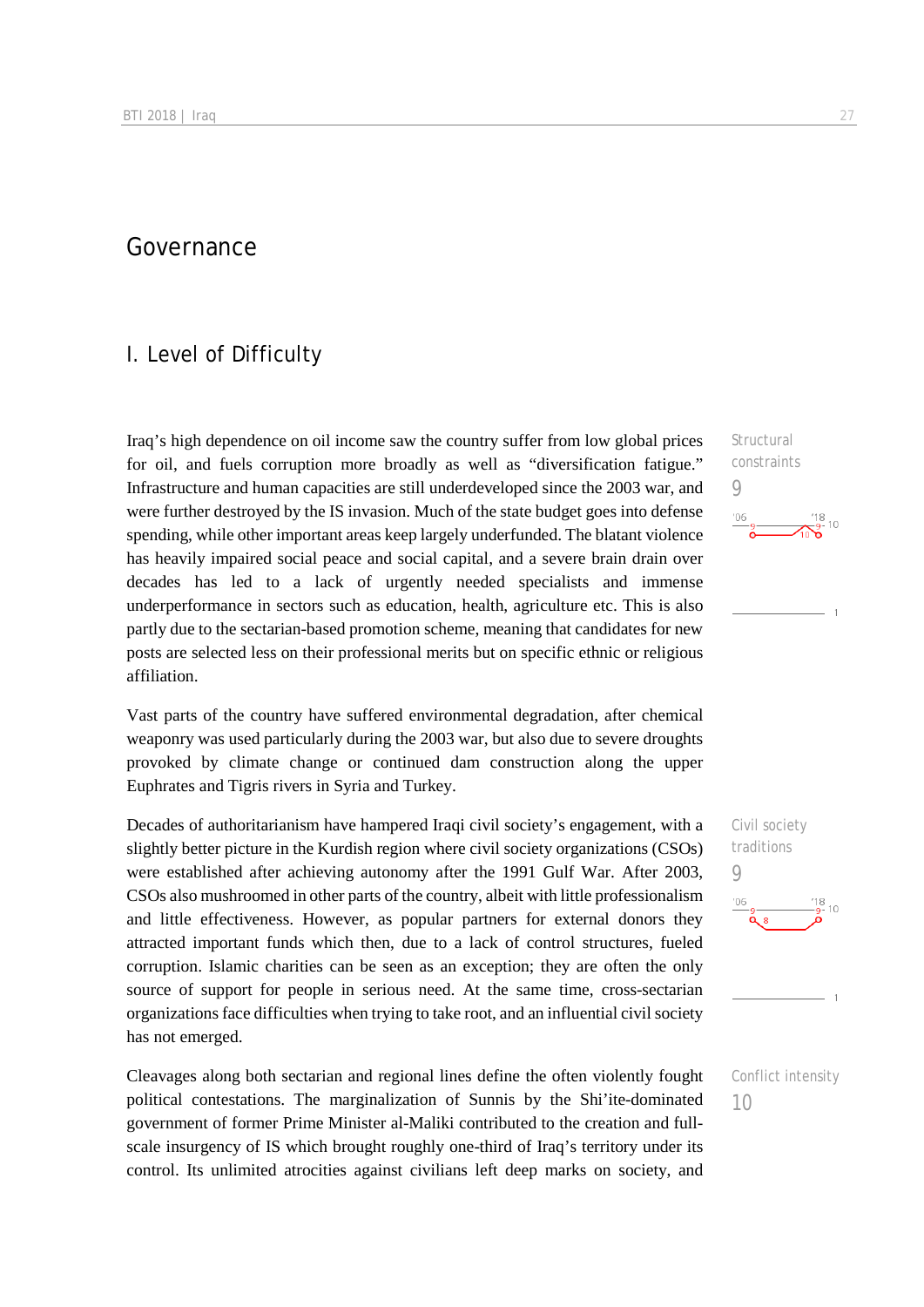## Governance

## I. Level of Difficulty

Iraq's high dependence on oil income saw the country suffer from low global prices for oil, and fuels corruption more broadly as well as "diversification fatigue." Infrastructure and human capacities are still underdeveloped since the 2003 war, and were further destroyed by the IS invasion. Much of the state budget goes into defense spending, while other important areas keep largely underfunded. The blatant violence has heavily impaired social peace and social capital, and a severe brain drain over decades has led to a lack of urgently needed specialists and immense underperformance in sectors such as education, health, agriculture etc. This is also partly due to the sectarian-based promotion scheme, meaning that candidates for new posts are selected less on their professional merits but on specific ethnic or religious affiliation.

Vast parts of the country have suffered environmental degradation, after chemical weaponry was used particularly during the 2003 war, but also due to severe droughts provoked by climate change or continued dam construction along the upper Euphrates and Tigris rivers in Syria and Turkey.

Decades of authoritarianism have hampered Iraqi civil society's engagement, with a slightly better picture in the Kurdish region where civil society organizations (CSOs) were established after achieving autonomy after the 1991 Gulf War. After 2003, CSOs also mushroomed in other parts of the country, albeit with little professionalism and little effectiveness. However, as popular partners for external donors they attracted important funds which then, due to a lack of control structures, fueled corruption. Islamic charities can be seen as an exception; they are often the only source of support for people in serious need. At the same time, cross-sectarian organizations face difficulties when trying to take root, and an influential civil society has not emerged.

Cleavages along both sectarian and regional lines define the often violently fought political contestations. The marginalization of Sunnis by the Shi'ite-dominated government of former Prime Minister al-Maliki contributed to the creation and fullscale insurgency of IS which brought roughly one-third of Iraq's territory under its control. Its unlimited atrocities against civilians left deep marks on society, and

**Structural** constraints 9  $'06$ 





10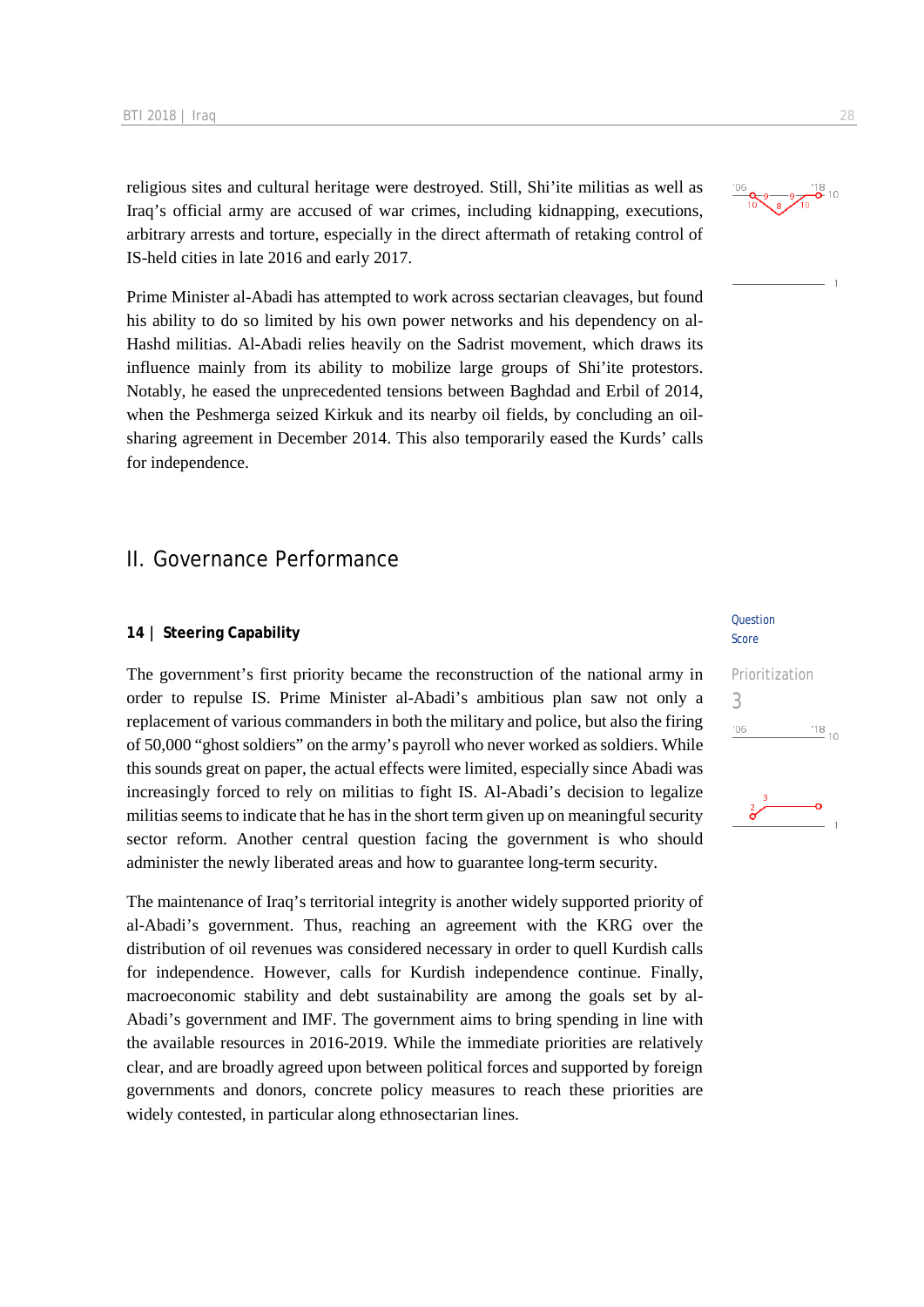religious sites and cultural heritage were destroyed. Still, Shi'ite militias as well as Iraq's official army are accused of war crimes, including kidnapping, executions, arbitrary arrests and torture, especially in the direct aftermath of retaking control of IS-held cities in late 2016 and early 2017.

Prime Minister al-Abadi has attempted to work across sectarian cleavages, but found his ability to do so limited by his own power networks and his dependency on al-Hashd militias. Al-Abadi relies heavily on the Sadrist movement, which draws its influence mainly from its ability to mobilize large groups of Shi'ite protestors. Notably, he eased the unprecedented tensions between Baghdad and Erbil of 2014, when the Peshmerga seized Kirkuk and its nearby oil fields, by concluding an oilsharing agreement in December 2014. This also temporarily eased the Kurds' calls for independence.

### II. Governance Performance

#### **14 | Steering Capability**

The government's first priority became the reconstruction of the national army in order to repulse IS. Prime Minister al-Abadi's ambitious plan saw not only a replacement of various commanders in both the military and police, but also the firing of 50,000 "ghost soldiers" on the army's payroll who never worked as soldiers. While this sounds great on paper, the actual effects were limited, especially since Abadi was increasingly forced to rely on militias to fight IS. Al-Abadi's decision to legalize militias seems to indicate that he has in the short term given up on meaningful security sector reform. Another central question facing the government is who should administer the newly liberated areas and how to guarantee long-term security.

The maintenance of Iraq's territorial integrity is another widely supported priority of al-Abadi's government. Thus, reaching an agreement with the KRG over the distribution of oil revenues was considered necessary in order to quell Kurdish calls for independence. However, calls for Kurdish independence continue. Finally, macroeconomic stability and debt sustainability are among the goals set by al-Abadi's government and IMF. The government aims to bring spending in line with the available resources in 2016-2019. While the immediate priorities are relatively clear, and are broadly agreed upon between political forces and supported by foreign governments and donors, concrete policy measures to reach these priorities are widely contested, in particular along ethnosectarian lines.

#### Question Score

# Prioritization 3 $^{118}$  10  $106$

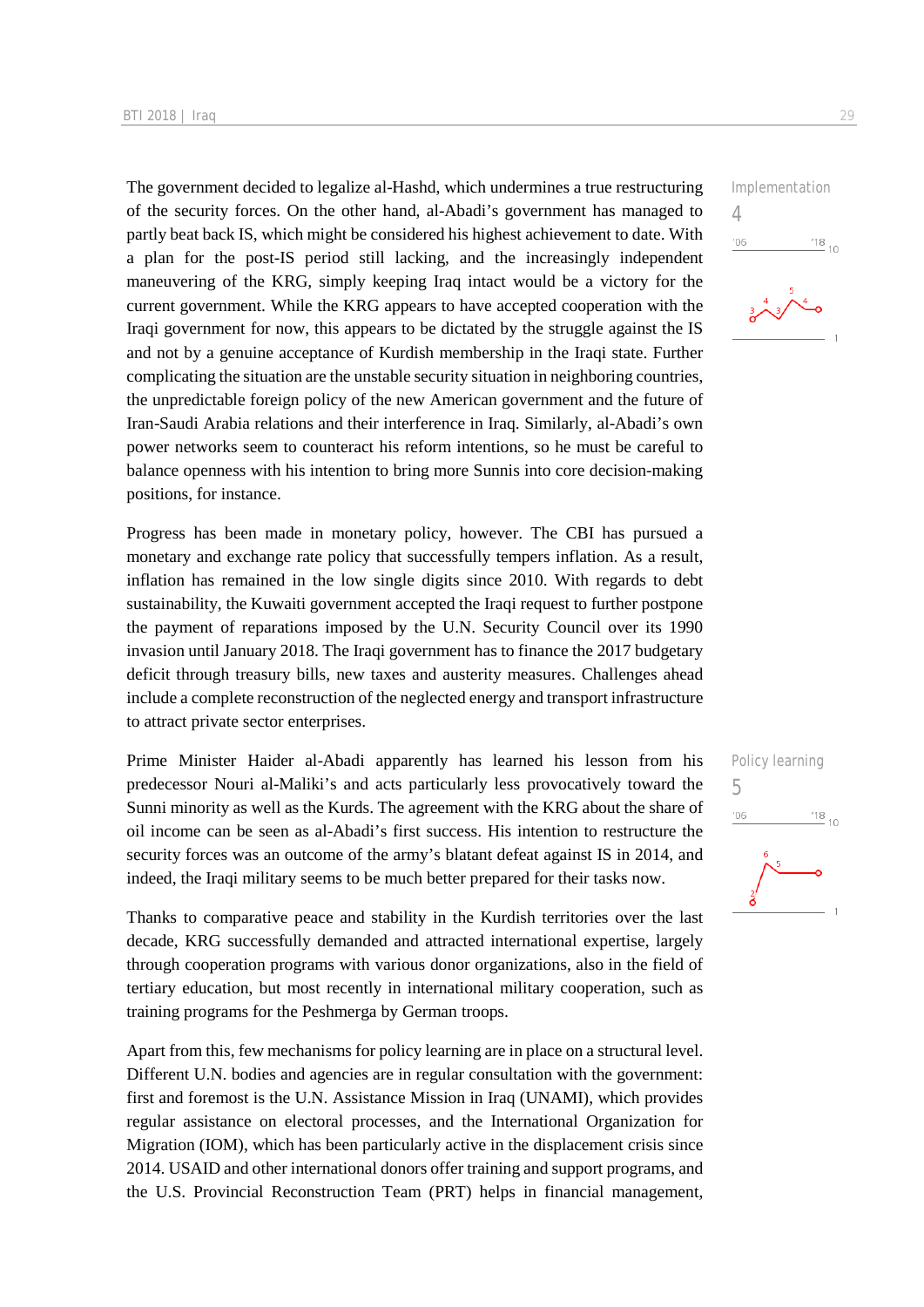The government decided to legalize al-Hashd, which undermines a true restructuring of the security forces. On the other hand, al-Abadi's government has managed to partly beat back IS, which might be considered his highest achievement to date. With a plan for the post-IS period still lacking, and the increasingly independent maneuvering of the KRG, simply keeping Iraq intact would be a victory for the current government. While the KRG appears to have accepted cooperation with the Iraqi government for now, this appears to be dictated by the struggle against the IS and not by a genuine acceptance of Kurdish membership in the Iraqi state. Further complicating the situation are the unstable security situation in neighboring countries, the unpredictable foreign policy of the new American government and the future of Iran-Saudi Arabia relations and their interference in Iraq. Similarly, al-Abadi's own power networks seem to counteract his reform intentions, so he must be careful to balance openness with his intention to bring more Sunnis into core decision-making positions, for instance.

Progress has been made in monetary policy, however. The CBI has pursued a monetary and exchange rate policy that successfully tempers inflation. As a result, inflation has remained in the low single digits since 2010. With regards to debt sustainability, the Kuwaiti government accepted the Iraqi request to further postpone the payment of reparations imposed by the U.N. Security Council over its 1990 invasion until January 2018. The Iraqi government has to finance the 2017 budgetary deficit through treasury bills, new taxes and austerity measures. Challenges ahead include a complete reconstruction of the neglected energy and transport infrastructure to attract private sector enterprises.

Prime Minister Haider al-Abadi apparently has learned his lesson from his predecessor Nouri al-Maliki's and acts particularly less provocatively toward the Sunni minority as well as the Kurds. The agreement with the KRG about the share of oil income can be seen as al-Abadi's first success. His intention to restructure the security forces was an outcome of the army's blatant defeat against IS in 2014, and indeed, the Iraqi military seems to be much better prepared for their tasks now.

Thanks to comparative peace and stability in the Kurdish territories over the last decade, KRG successfully demanded and attracted international expertise, largely through cooperation programs with various donor organizations, also in the field of tertiary education, but most recently in international military cooperation, such as training programs for the Peshmerga by German troops.

Apart from this, few mechanisms for policy learning are in place on a structural level. Different U.N. bodies and agencies are in regular consultation with the government: first and foremost is the U.N. Assistance Mission in Iraq (UNAMI), which provides regular assistance on electoral processes, and the International Organization for Migration (IOM), which has been particularly active in the displacement crisis since 2014. USAID and other international donors offer training and support programs, and the U.S. Provincial Reconstruction Team (PRT) helps in financial management,



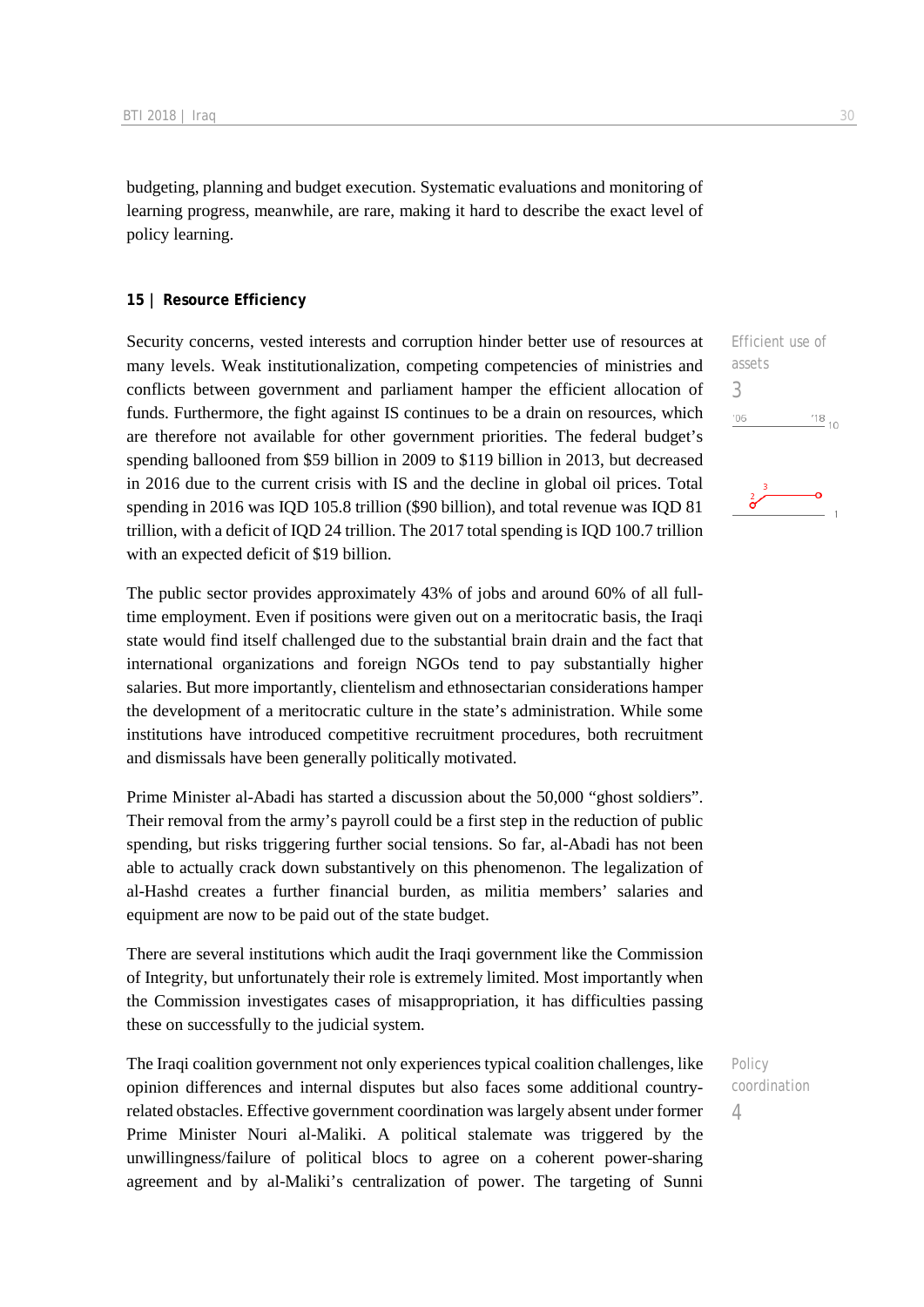budgeting, planning and budget execution. Systematic evaluations and monitoring of learning progress, meanwhile, are rare, making it hard to describe the exact level of policy learning.

#### **15 | Resource Efficiency**

Security concerns, vested interests and corruption hinder better use of resources at many levels. Weak institutionalization, competing competencies of ministries and conflicts between government and parliament hamper the efficient allocation of funds. Furthermore, the fight against IS continues to be a drain on resources, which are therefore not available for other government priorities. The federal budget's spending ballooned from \$59 billion in 2009 to \$119 billion in 2013, but decreased in 2016 due to the current crisis with IS and the decline in global oil prices. Total spending in 2016 was IQD 105.8 trillion (\$90 billion), and total revenue was IQD 81 trillion, with a deficit of IQD 24 trillion. The 2017 total spending is IQD 100.7 trillion with an expected deficit of \$19 billion.

The public sector provides approximately 43% of jobs and around 60% of all fulltime employment. Even if positions were given out on a meritocratic basis, the Iraqi state would find itself challenged due to the substantial brain drain and the fact that international organizations and foreign NGOs tend to pay substantially higher salaries. But more importantly, clientelism and ethnosectarian considerations hamper the development of a meritocratic culture in the state's administration. While some institutions have introduced competitive recruitment procedures, both recruitment and dismissals have been generally politically motivated.

Prime Minister al-Abadi has started a discussion about the 50,000 "ghost soldiers". Their removal from the army's payroll could be a first step in the reduction of public spending, but risks triggering further social tensions. So far, al-Abadi has not been able to actually crack down substantively on this phenomenon. The legalization of al-Hashd creates a further financial burden, as militia members' salaries and equipment are now to be paid out of the state budget.

There are several institutions which audit the Iraqi government like the Commission of Integrity, but unfortunately their role is extremely limited. Most importantly when the Commission investigates cases of misappropriation, it has difficulties passing these on successfully to the judicial system.

The Iraqi coalition government not only experiences typical coalition challenges, like opinion differences and internal disputes but also faces some additional countryrelated obstacles. Effective government coordination was largely absent under former Prime Minister Nouri al-Maliki. A political stalemate was triggered by the unwillingness/failure of political blocs to agree on a coherent power-sharing agreement and by al-Maliki's centralization of power. The targeting of Sunni Efficient use of assets 3  $06'$  $^{'}18$  10

Policy coordination 4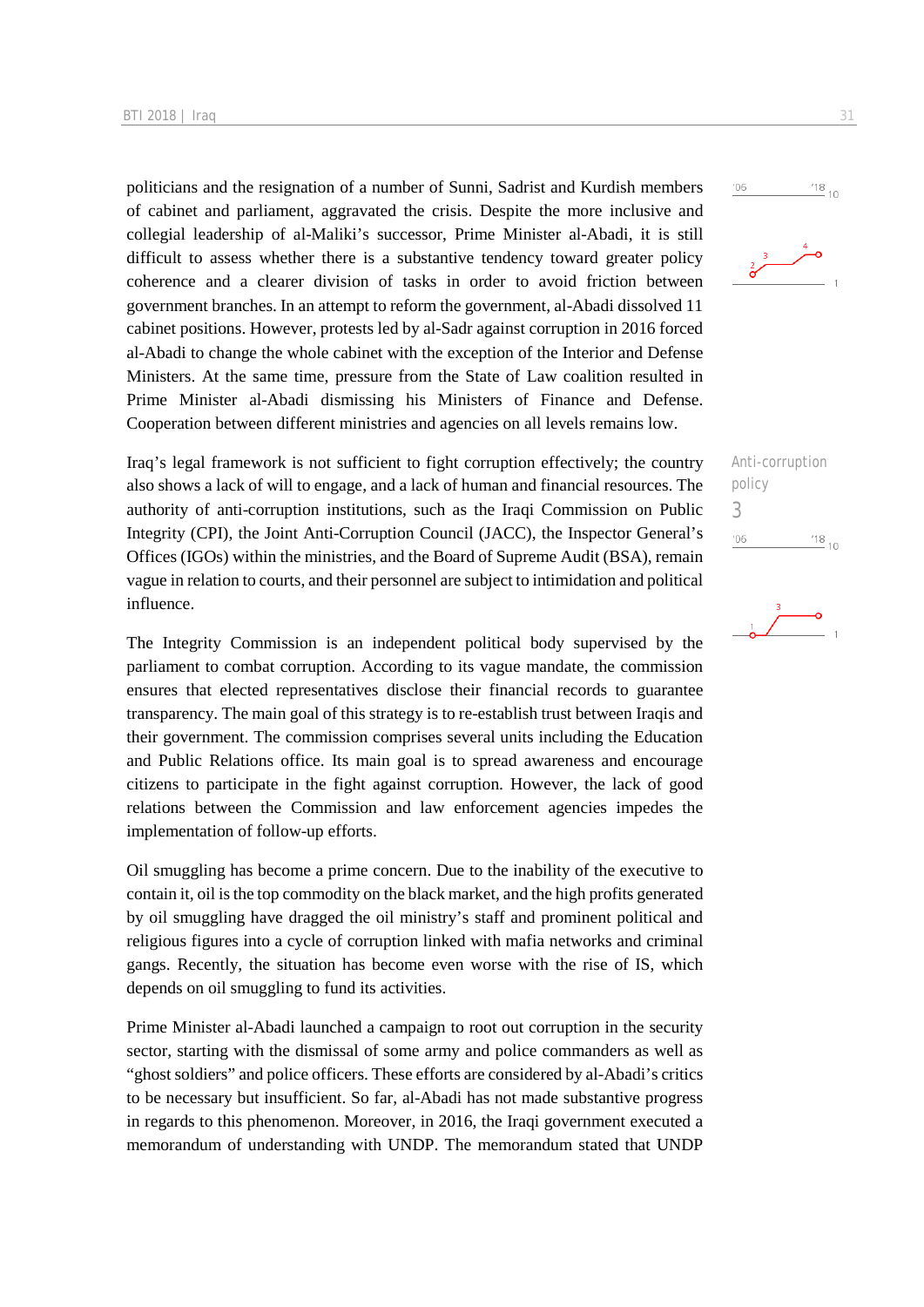politicians and the resignation of a number of Sunni, Sadrist and Kurdish members of cabinet and parliament, aggravated the crisis. Despite the more inclusive and collegial leadership of al-Maliki's successor, Prime Minister al-Abadi, it is still difficult to assess whether there is a substantive tendency toward greater policy coherence and a clearer division of tasks in order to avoid friction between government branches. In an attempt to reform the government, al-Abadi dissolved 11 cabinet positions. However, protests led by al-Sadr against corruption in 2016 forced al-Abadi to change the whole cabinet with the exception of the Interior and Defense Ministers. At the same time, pressure from the State of Law coalition resulted in Prime Minister al-Abadi dismissing his Ministers of Finance and Defense. Cooperation between different ministries and agencies on all levels remains low.

Iraq's legal framework is not sufficient to fight corruption effectively; the country also shows a lack of will to engage, and a lack of human and financial resources. The authority of anti-corruption institutions, such as the Iraqi Commission on Public Integrity (CPI), the Joint Anti-Corruption Council (JACC), the Inspector General's Offices (IGOs) within the ministries, and the Board of Supreme Audit (BSA), remain vague in relation to courts, and their personnel are subject to intimidation and political influence.

The Integrity Commission is an independent political body supervised by the parliament to combat corruption. According to its vague mandate, the commission ensures that elected representatives disclose their financial records to guarantee transparency. The main goal of this strategy is to re-establish trust between Iraqis and their government. The commission comprises several units including the Education and Public Relations office. Its main goal is to spread awareness and encourage citizens to participate in the fight against corruption. However, the lack of good relations between the Commission and law enforcement agencies impedes the implementation of follow-up efforts.

Oil smuggling has become a prime concern. Due to the inability of the executive to contain it, oil is the top commodity on the black market, and the high profits generated by oil smuggling have dragged the oil ministry's staff and prominent political and religious figures into a cycle of corruption linked with mafia networks and criminal gangs. Recently, the situation has become even worse with the rise of IS, which depends on oil smuggling to fund its activities.

Prime Minister al-Abadi launched a campaign to root out corruption in the security sector, starting with the dismissal of some army and police commanders as well as "ghost soldiers" and police officers. These efforts are considered by al-Abadi's critics to be necessary but insufficient. So far, al-Abadi has not made substantive progress in regards to this phenomenon. Moreover, in 2016, the Iraqi government executed a memorandum of understanding with UNDP. The memorandum stated that UNDP



 $'06$ 



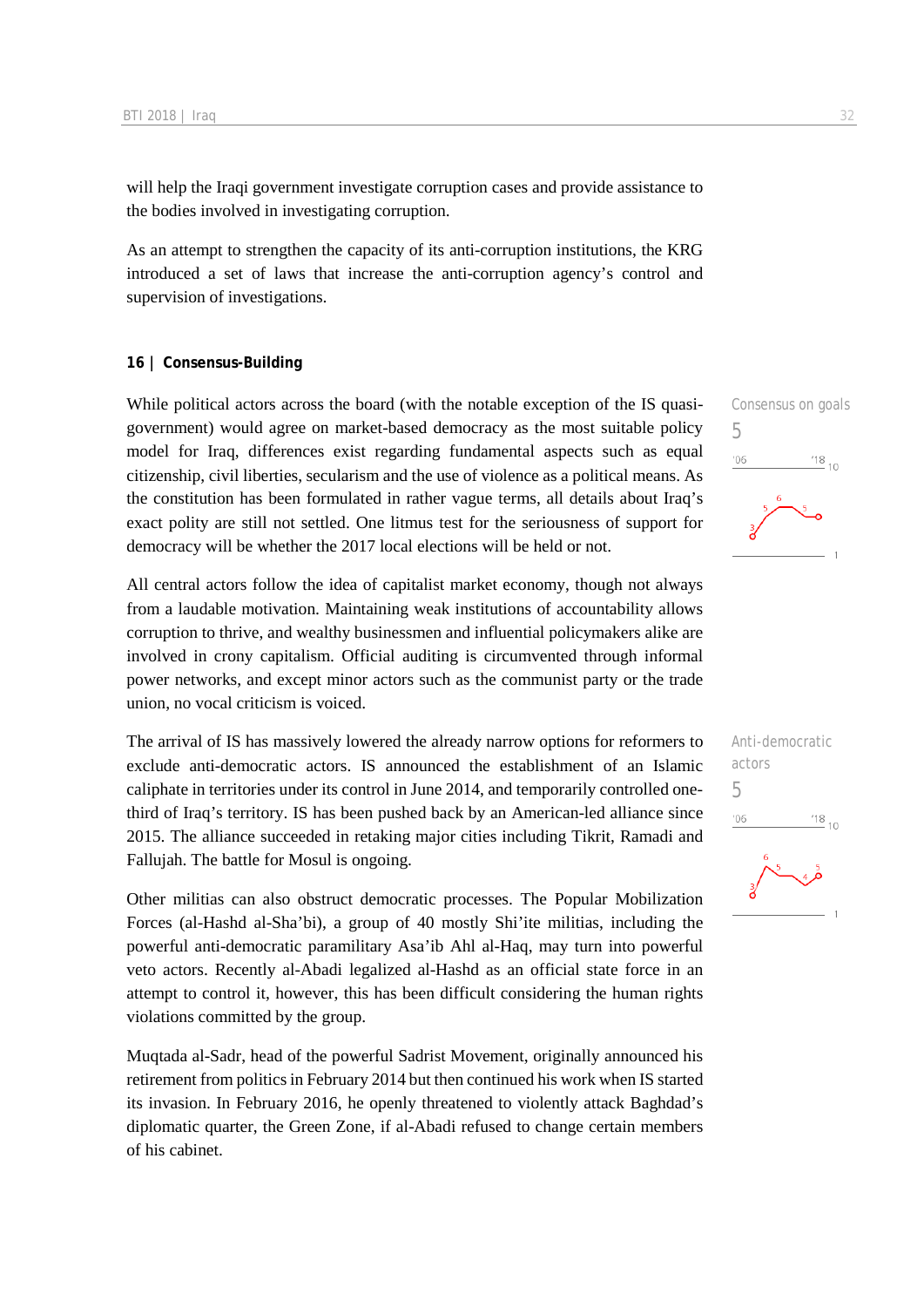will help the Iraqi government investigate corruption cases and provide assistance to the bodies involved in investigating corruption.

As an attempt to strengthen the capacity of its anti-corruption institutions, the KRG introduced a set of laws that increase the anti-corruption agency's control and supervision of investigations.

#### **16 | Consensus-Building**

While political actors across the board (with the notable exception of the IS quasigovernment) would agree on market-based democracy as the most suitable policy model for Iraq, differences exist regarding fundamental aspects such as equal citizenship, civil liberties, secularism and the use of violence as a political means. As the constitution has been formulated in rather vague terms, all details about Iraq's exact polity are still not settled. One litmus test for the seriousness of support for democracy will be whether the 2017 local elections will be held or not.

All central actors follow the idea of capitalist market economy, though not always from a laudable motivation. Maintaining weak institutions of accountability allows corruption to thrive, and wealthy businessmen and influential policymakers alike are involved in crony capitalism. Official auditing is circumvented through informal power networks, and except minor actors such as the communist party or the trade union, no vocal criticism is voiced.

The arrival of IS has massively lowered the already narrow options for reformers to exclude anti-democratic actors. IS announced the establishment of an Islamic caliphate in territories under its control in June 2014, and temporarily controlled onethird of Iraq's territory. IS has been pushed back by an American-led alliance since 2015. The alliance succeeded in retaking major cities including Tikrit, Ramadi and Fallujah. The battle for Mosul is ongoing.

Other militias can also obstruct democratic processes. The Popular Mobilization Forces (al-Hashd al-Sha'bi), a group of 40 mostly Shi'ite militias, including the powerful anti-democratic paramilitary Asa'ib Ahl al-Haq, may turn into powerful veto actors. Recently al-Abadi legalized al-Hashd as an official state force in an attempt to control it, however, this has been difficult considering the human rights violations committed by the group.

Muqtada al-Sadr, head of the powerful Sadrist Movement, originally announced his retirement from politics in February 2014 but then continued his work when IS started its invasion. In February 2016, he openly threatened to violently attack Baghdad's diplomatic quarter, the Green Zone, if al-Abadi refused to change certain members of his cabinet.



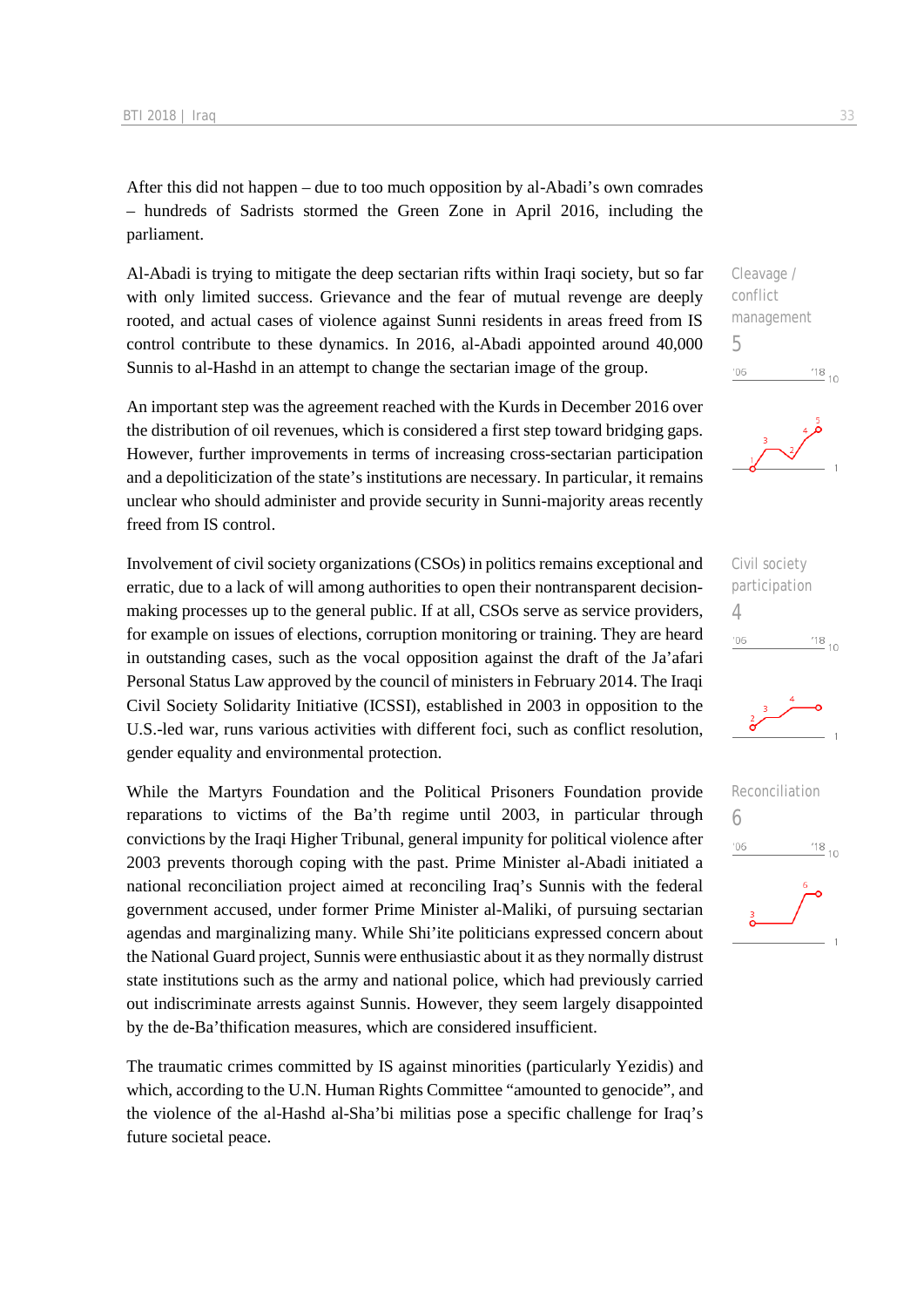After this did not happen – due to too much opposition by al-Abadi's own comrades – hundreds of Sadrists stormed the Green Zone in April 2016, including the parliament.

Al-Abadi is trying to mitigate the deep sectarian rifts within Iraqi society, but so far with only limited success. Grievance and the fear of mutual revenge are deeply rooted, and actual cases of violence against Sunni residents in areas freed from IS control contribute to these dynamics. In 2016, al-Abadi appointed around 40,000 Sunnis to al-Hashd in an attempt to change the sectarian image of the group.

An important step was the agreement reached with the Kurds in December 2016 over the distribution of oil revenues, which is considered a first step toward bridging gaps. However, further improvements in terms of increasing cross-sectarian participation and a depoliticization of the state's institutions are necessary. In particular, it remains unclear who should administer and provide security in Sunni-majority areas recently freed from IS control.

Involvement of civil society organizations (CSOs) in politics remains exceptional and erratic, due to a lack of will among authorities to open their nontransparent decisionmaking processes up to the general public. If at all, CSOs serve as service providers, for example on issues of elections, corruption monitoring or training. They are heard in outstanding cases, such as the vocal opposition against the draft of the Ja'afari Personal Status Law approved by the council of ministers in February 2014. The Iraqi Civil Society Solidarity Initiative (ICSSI), established in 2003 in opposition to the U.S.-led war, runs various activities with different foci, such as conflict resolution, gender equality and environmental protection.

While the Martyrs Foundation and the Political Prisoners Foundation provide reparations to victims of the Ba'th regime until 2003, in particular through convictions by the Iraqi Higher Tribunal, general impunity for political violence after 2003 prevents thorough coping with the past. Prime Minister al-Abadi initiated a national reconciliation project aimed at reconciling Iraq's Sunnis with the federal government accused, under former Prime Minister al-Maliki, of pursuing sectarian agendas and marginalizing many. While Shi'ite politicians expressed concern about the National Guard project, Sunnis were enthusiastic about it as they normally distrust state institutions such as the army and national police, which had previously carried out indiscriminate arrests against Sunnis. However, they seem largely disappointed by the de-Ba'thification measures, which are considered insufficient.

The traumatic crimes committed by IS against minorities (particularly Yezidis) and which, according to the U.N. Human Rights Committee "amounted to genocide", and the violence of the al-Hashd al-Sha'bi militias pose a specific challenge for Iraq's future societal peace.

Cleavage / conflict management 5  $\frac{18}{10}$  10  $106$ 







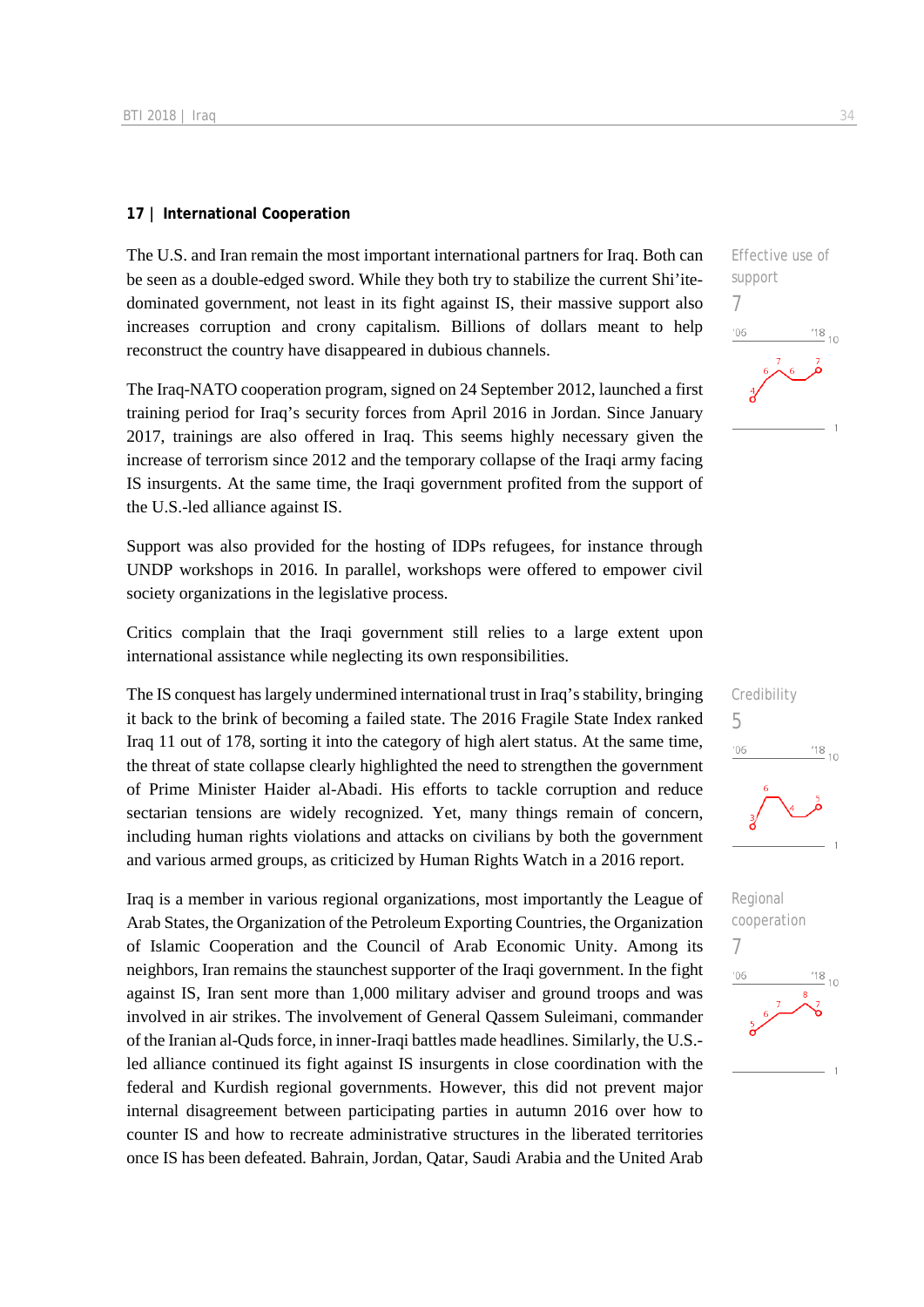#### **17 | International Cooperation**

The U.S. and Iran remain the most important international partners for Iraq. Both can be seen as a double-edged sword. While they both try to stabilize the current Shi'itedominated government, not least in its fight against IS, their massive support also increases corruption and crony capitalism. Billions of dollars meant to help reconstruct the country have disappeared in dubious channels.

The Iraq-NATO cooperation program, signed on 24 September 2012, launched a first training period for Iraq's security forces from April 2016 in Jordan. Since January 2017, trainings are also offered in Iraq. This seems highly necessary given the increase of terrorism since 2012 and the temporary collapse of the Iraqi army facing IS insurgents. At the same time, the Iraqi government profited from the support of the U.S.-led alliance against IS.

Support was also provided for the hosting of IDPs refugees, for instance through UNDP workshops in 2016. In parallel, workshops were offered to empower civil society organizations in the legislative process.

Critics complain that the Iraqi government still relies to a large extent upon international assistance while neglecting its own responsibilities.

The IS conquest has largely undermined international trust in Iraq's stability, bringing it back to the brink of becoming a failed state. The 2016 Fragile State Index ranked Iraq 11 out of 178, sorting it into the category of high alert status. At the same time, the threat of state collapse clearly highlighted the need to strengthen the government of Prime Minister Haider al-Abadi. His efforts to tackle corruption and reduce sectarian tensions are widely recognized. Yet, many things remain of concern, including human rights violations and attacks on civilians by both the government and various armed groups, as criticized by Human Rights Watch in a 2016 report.

Iraq is a member in various regional organizations, most importantly the League of Arab States, the Organization of the Petroleum Exporting Countries, the Organization of Islamic Cooperation and the Council of Arab Economic Unity. Among its neighbors, Iran remains the staunchest supporter of the Iraqi government. In the fight against IS, Iran sent more than 1,000 military adviser and ground troops and was involved in air strikes. The involvement of General Qassem Suleimani, commander of the Iranian al-Quds force, in inner-Iraqi battles made headlines. Similarly, the U.S. led alliance continued its fight against IS insurgents in close coordination with the federal and Kurdish regional governments. However, this did not prevent major internal disagreement between participating parties in autumn 2016 over how to counter IS and how to recreate administrative structures in the liberated territories once IS has been defeated. Bahrain, Jordan, Qatar, Saudi Arabia and the United Arab

Effective use of support 7  $06'$  $\frac{18}{10}$  10



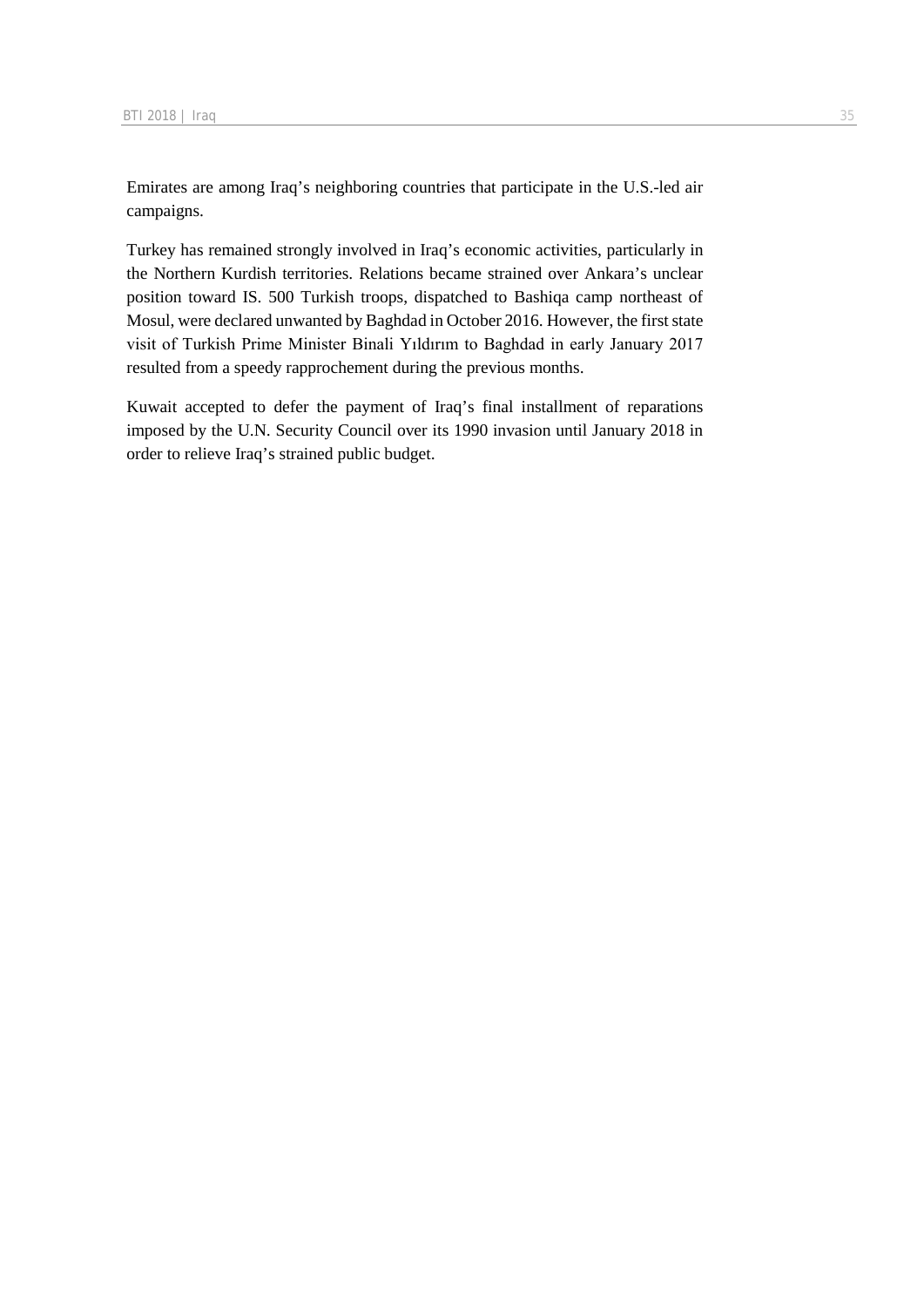Emirates are among Iraq's neighboring countries that participate in the U.S.-led air campaigns.

Turkey has remained strongly involved in Iraq's economic activities, particularly in the Northern Kurdish territories. Relations became strained over Ankara's unclear position toward IS. 500 Turkish troops, dispatched to Bashiqa camp northeast of Mosul, were declared unwanted by Baghdad in October 2016. However, the first state visit of Turkish Prime Minister Binali Yıldırım to Baghdad in early January 2017 resulted from a speedy rapprochement during the previous months.

Kuwait accepted to defer the payment of Iraq's final installment of reparations imposed by the U.N. Security Council over its 1990 invasion until January 2018 in order to relieve Iraq's strained public budget.